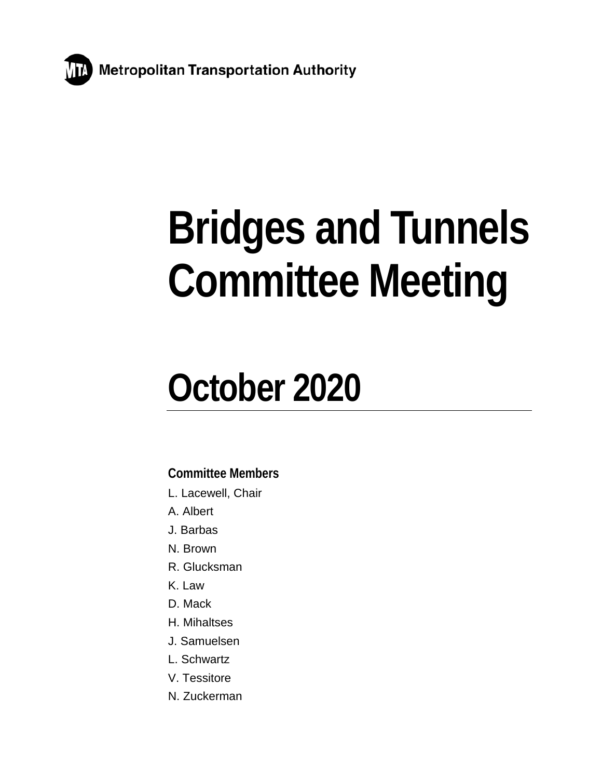

Metropolitan Transportation Authority

# **Bridges and Tunnels Committee Meeting**

# **October 2020**

**Committee Members**

- L. Lacewell, Chair
- A. Albert
- J. Barbas
- N. Brown
- R. Glucksman
- K. Law
- D. Mack
- H. Mihaltses
- J. Samuelsen
- L. Schwartz
- V. Tessitore
- N. Zuckerman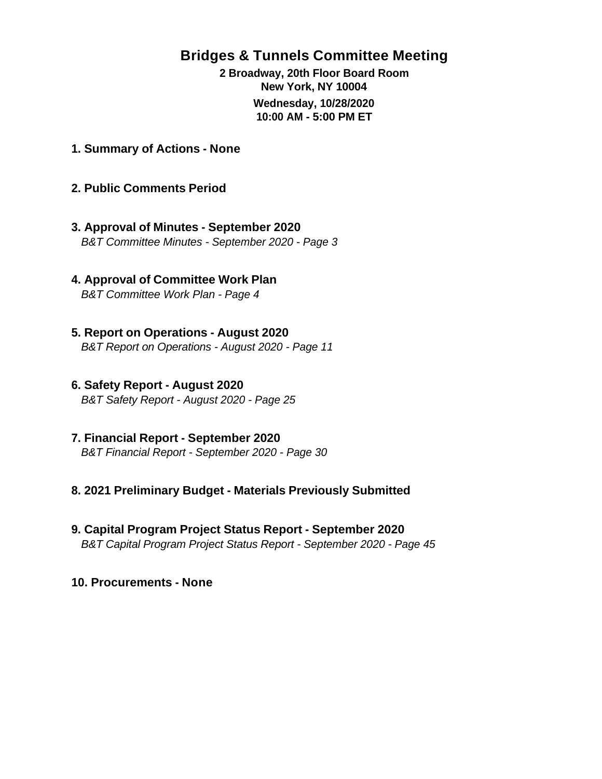# **Bridges & Tunnels Committee Meeting**

**2 Broadway, 20th Floor Board Room New York, NY 10004 Wednesday, 10/28/2020 10:00 AM - 5:00 PM ET**

- **1. Summary of Actions None**
- **2. Public Comments Period**
- **3. Approval of Minutes September 2020** B&T Committee Minutes - September 2020 - Page 3
- **4. Approval of Committee Work Plan** B&T Committee Work Plan - Page 4
- **5. Report on Operations August 2020** B&T Report on Operations - August 2020 - Page 11
- **6. Safety Report August 2020** B&T Safety Report - August 2020 - Page 25
- **7. Financial Report September 2020** B&T Financial Report - September 2020 - Page 30
- **8. 2021 Preliminary Budget Materials Previously Submitted**
- **9. Capital Program Project Status Report September 2020** B&T Capital Program Project Status Report - September 2020 - Page 45
- **10. Procurements None**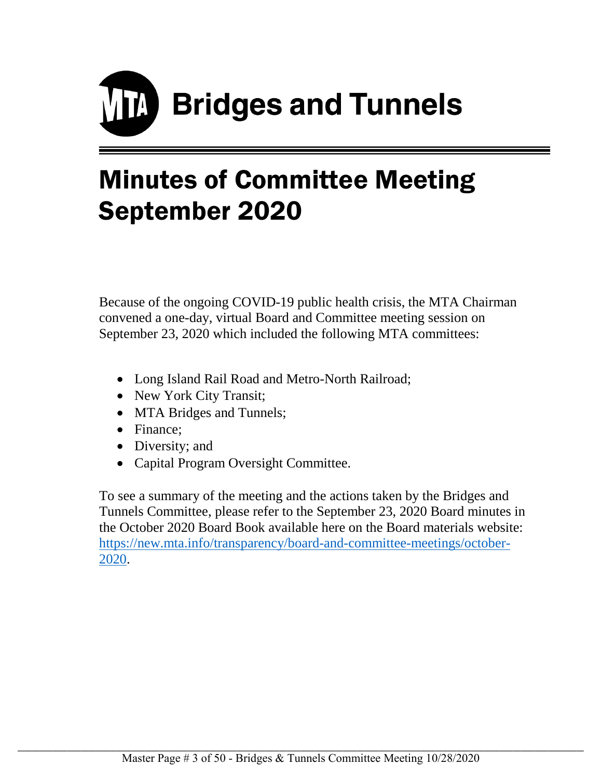

# Minutes of Committee Meeting September 2020

Because of the ongoing COVID-19 public health crisis, the MTA Chairman convened a one-day, virtual Board and Committee meeting session on September 23, 2020 which included the following MTA committees:

- Long Island Rail Road and Metro-North Railroad;
- New York City Transit;
- MTA Bridges and Tunnels;
- Finance:
- Diversity; and
- Capital Program Oversight Committee.

To see a summary of the meeting and the actions taken by the Bridges and Tunnels Committee, please refer to the September 23, 2020 Board minutes in the October 2020 Board Book available here on the Board materials website: [https://new.mta.info/transparency/board-and-committee-meetings/october-](https://new.mta.info/transparency/board-and-committee-meetings/october-2020)[2020.](https://new.mta.info/transparency/board-and-committee-meetings/october-2020)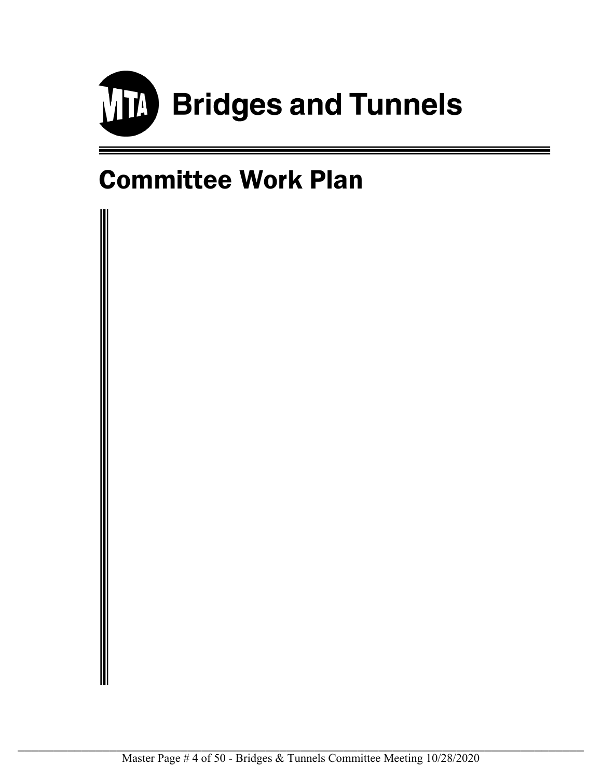

# Committee Work Plan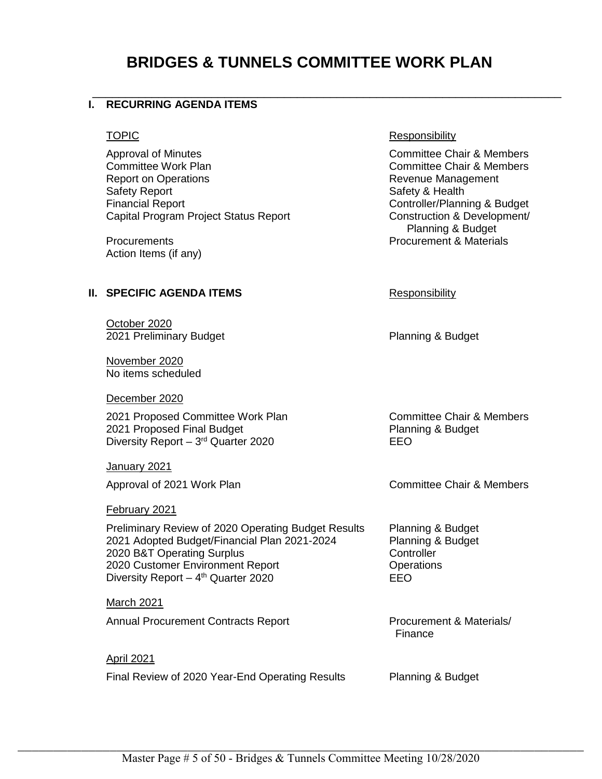# \_\_\_\_\_\_\_\_\_\_\_\_\_\_\_\_\_\_\_\_\_\_\_\_\_\_\_\_\_\_\_\_\_\_\_\_\_\_\_\_\_\_\_\_\_\_\_\_\_\_\_\_\_\_\_\_\_\_\_\_\_\_\_\_\_\_\_\_\_\_\_ **I. RECURRING AGENDA ITEMS**

Approval of Minutes Committee Chair & Members Committee Work Plan<br>
Report on Operations<br>
Revenue Management Safety Report Safety & Health Financial Report<br>Controller/Planning & Budget<br>Construction & Development/ Capital Program Project Status Report

Action Items (if any)

# **II. SPECIFIC AGENDA ITEMS** Responsibility

October 2020 2021 Preliminary Budget **Planning & Budget** Planning & Budget

November 2020 No items scheduled

# December 2020

2021 Proposed Committee Work Plan Committee Chair & Members 2021 Proposed Final Budget **Planning & Budget** Diversity Report – 3<sup>rd</sup> Quarter 2020 **EEO** 

January 2021

# February 2021

Preliminary Review of 2020 Operating Budget Results Planning & Budget 2021 Adopted Budget/Financial Plan 2021-2024 Planning & Budget<br>2020 B&T Operating Surplus **Property** Controller 2020 B&T Operating Surplus 2020 Customer Environment Report  $\overline{O}$  Constructions<br>Diversity Report – 4<sup>th</sup> Quarter 2020 Diversity Report –  $4<sup>th</sup>$  Quarter 2020

March 2021 Annual Procurement Contracts Report **Procurement & Materials**/

# April 2021

Final Review of 2020 Year-End Operating Results Planning & Budget

# TOPIC **Responsibility**

Revenue Management Planning & Budget Procurements Procurement & Materials

Approval of 2021 Work Plan Committee Chair & Members

Finance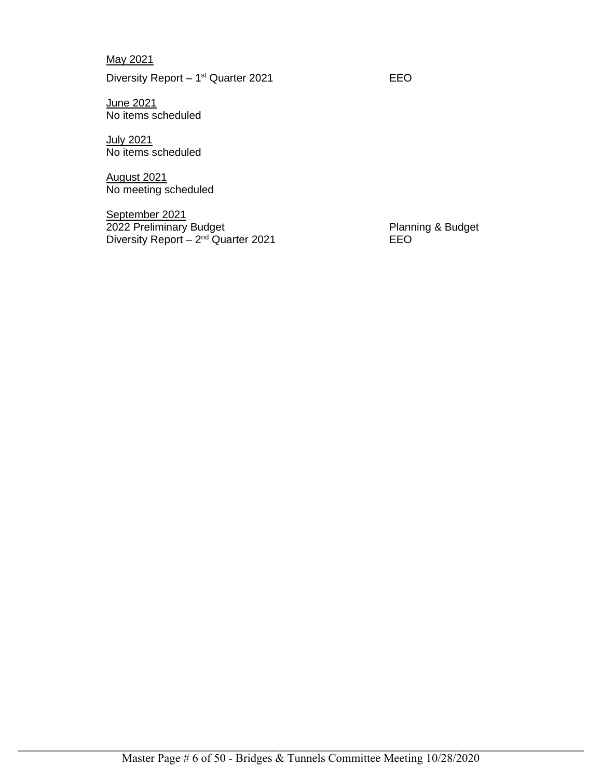May 2021

Diversity Report – 1<sup>st</sup> Quarter 2021 **EEO** 

June 2021 No items scheduled

July 2021 No items scheduled

August 2021 No meeting scheduled

September 2021 2022 Preliminary Budget **Planning & Budget** Planning & Budget Diversity Report – 2<sup>nd</sup> Quarter 2021 **EEO**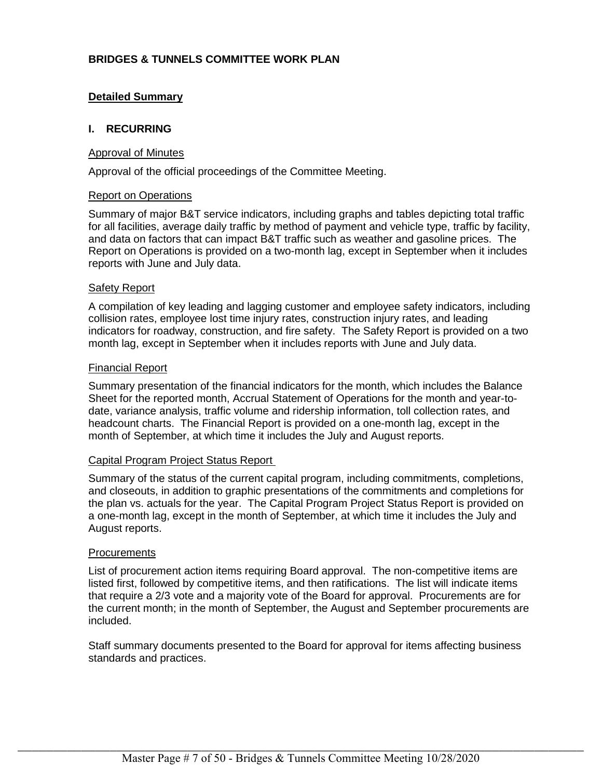# **BRIDGES & TUNNELS COMMITTEE WORK PLAN**

# **Detailed Summary**

# **I. RECURRING**

# Approval of Minutes

Approval of the official proceedings of the Committee Meeting.

# Report on Operations

Summary of major B&T service indicators, including graphs and tables depicting total traffic for all facilities, average daily traffic by method of payment and vehicle type, traffic by facility, and data on factors that can impact B&T traffic such as weather and gasoline prices. The Report on Operations is provided on a two-month lag, except in September when it includes reports with June and July data.

# Safety Report

A compilation of key leading and lagging customer and employee safety indicators, including collision rates, employee lost time injury rates, construction injury rates, and leading indicators for roadway, construction, and fire safety. The Safety Report is provided on a two month lag, except in September when it includes reports with June and July data.

# Financial Report

Summary presentation of the financial indicators for the month, which includes the Balance Sheet for the reported month, Accrual Statement of Operations for the month and year-todate, variance analysis, traffic volume and ridership information, toll collection rates, and headcount charts. The Financial Report is provided on a one-month lag, except in the month of September, at which time it includes the July and August reports.

# Capital Program Project Status Report

Summary of the status of the current capital program, including commitments, completions, and closeouts, in addition to graphic presentations of the commitments and completions for the plan vs. actuals for the year. The Capital Program Project Status Report is provided on a one-month lag, except in the month of September, at which time it includes the July and August reports.

# **Procurements**

List of procurement action items requiring Board approval. The non-competitive items are listed first, followed by competitive items, and then ratifications. The list will indicate items that require a 2/3 vote and a majority vote of the Board for approval. Procurements are for the current month; in the month of September, the August and September procurements are included.

Staff summary documents presented to the Board for approval for items affecting business standards and practices.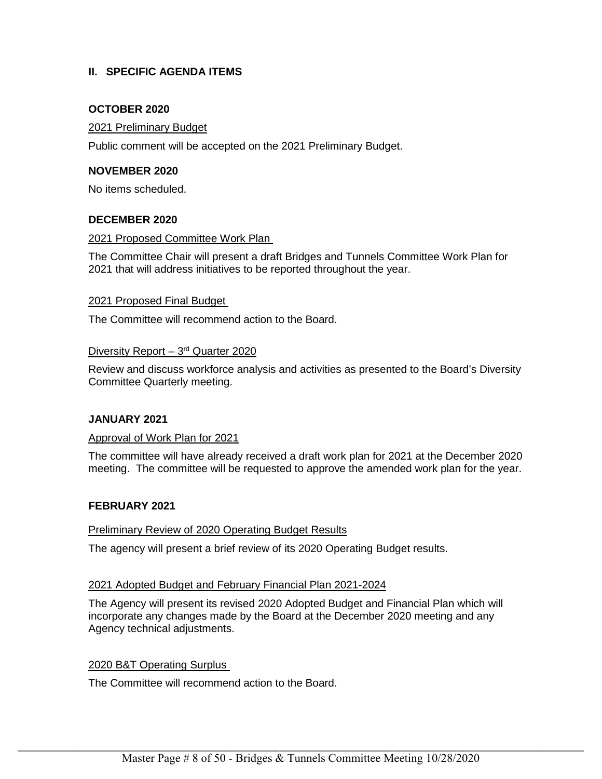# **II. SPECIFIC AGENDA ITEMS**

# **OCTOBER 2020**

# 2021 Preliminary Budget

Public comment will be accepted on the 2021 Preliminary Budget.

# **NOVEMBER 2020**

No items scheduled.

# **DECEMBER 2020**

# 2021 Proposed Committee Work Plan

The Committee Chair will present a draft Bridges and Tunnels Committee Work Plan for 2021 that will address initiatives to be reported throughout the year.

# 2021 Proposed Final Budget

The Committee will recommend action to the Board.

# Diversity Report  $-3<sup>rd</sup>$  Quarter 2020

Review and discuss workforce analysis and activities as presented to the Board's Diversity Committee Quarterly meeting.

# **JANUARY 2021**

Approval of Work Plan for 2021

The committee will have already received a draft work plan for 2021 at the December 2020 meeting. The committee will be requested to approve the amended work plan for the year.

# **FEBRUARY 2021**

# Preliminary Review of 2020 Operating Budget Results

The agency will present a brief review of its 2020 Operating Budget results.

# 2021 Adopted Budget and February Financial Plan 2021-2024

The Agency will present its revised 2020 Adopted Budget and Financial Plan which will incorporate any changes made by the Board at the December 2020 meeting and any Agency technical adjustments.

# 2020 B&T Operating Surplus

The Committee will recommend action to the Board.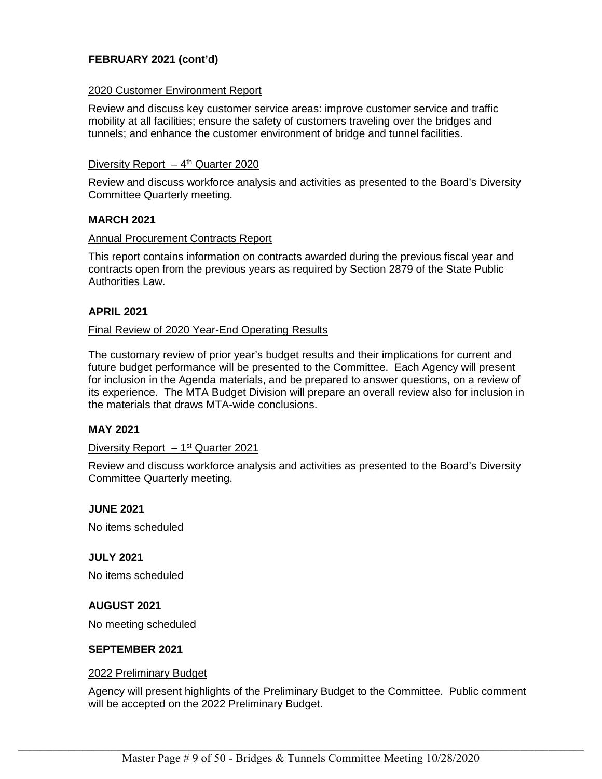# **FEBRUARY 2021 (cont'd)**

# 2020 Customer Environment Report

Review and discuss key customer service areas: improve customer service and traffic mobility at all facilities; ensure the safety of customers traveling over the bridges and tunnels; and enhance the customer environment of bridge and tunnel facilities.

# Diversity Report  $-4<sup>th</sup>$  Quarter 2020

Review and discuss workforce analysis and activities as presented to the Board's Diversity Committee Quarterly meeting.

# **MARCH 2021**

# Annual Procurement Contracts Report

This report contains information on contracts awarded during the previous fiscal year and contracts open from the previous years as required by Section 2879 of the State Public Authorities Law.

# **APRIL 2021**

# Final Review of 2020 Year-End Operating Results

The customary review of prior year's budget results and their implications for current and future budget performance will be presented to the Committee. Each Agency will present for inclusion in the Agenda materials, and be prepared to answer questions, on a review of its experience. The MTA Budget Division will prepare an overall review also for inclusion in the materials that draws MTA-wide conclusions.

# **MAY 2021**

# Diversity Report  $-1<sup>st</sup>$  Quarter 2021

Review and discuss workforce analysis and activities as presented to the Board's Diversity Committee Quarterly meeting.

**JUNE 2021**

No items scheduled

**JULY 2021** No items scheduled

# **AUGUST 2021**

No meeting scheduled

# **SEPTEMBER 2021**

# 2022 Preliminary Budget

Agency will present highlights of the Preliminary Budget to the Committee. Public comment will be accepted on the 2022 Preliminary Budget.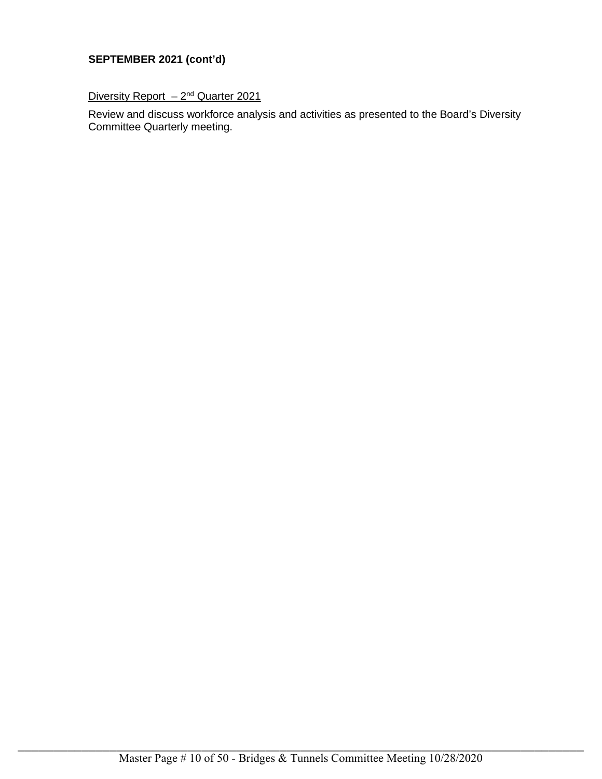# **SEPTEMBER 2021 (cont'd)**

# Diversity Report  $-2^{nd}$  Quarter 2021

Review and discuss workforce analysis and activities as presented to the Board's Diversity Committee Quarterly meeting.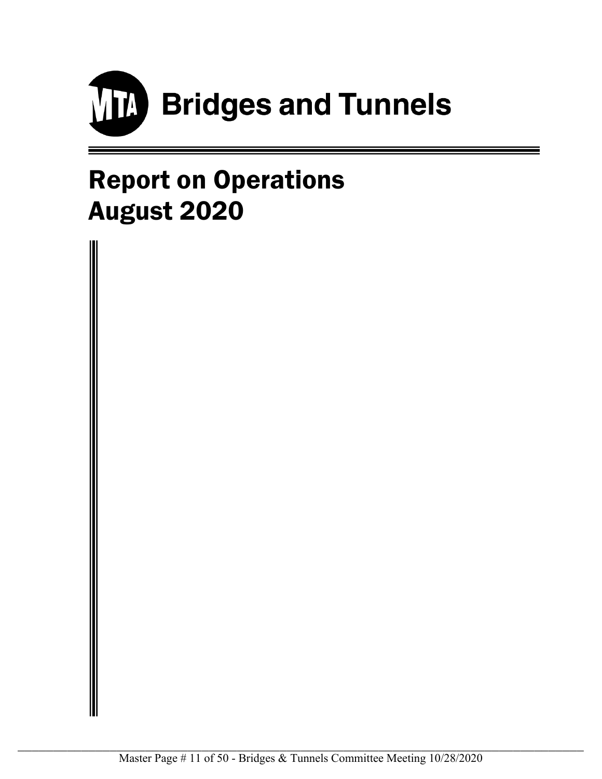

# Report on Operations August 2020

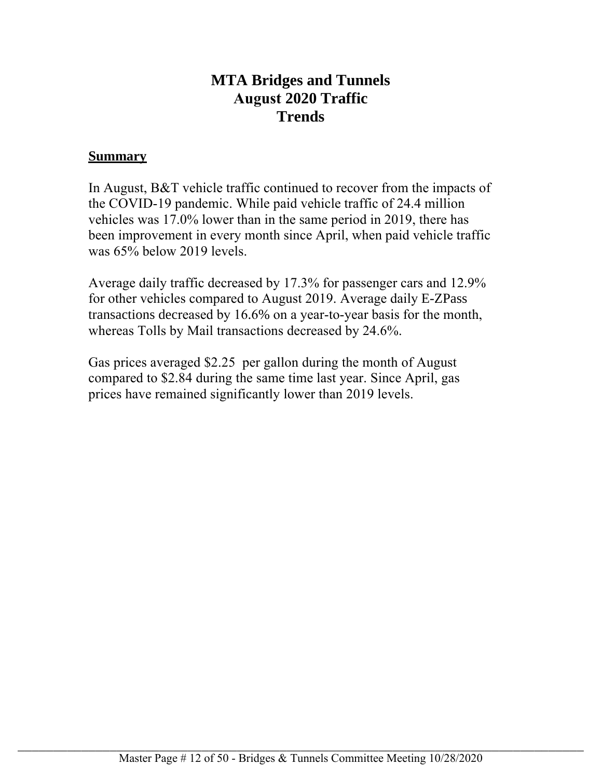# **MTA Bridges and Tunnels August 2020 Traffic Trends**

# **Summary**

In August, B&T vehicle traffic continued to recover from the impacts of the COVID-19 pandemic. While paid vehicle traffic of 24.4 million vehicles was 17.0% lower than in the same period in 2019, there has been improvement in every month since April, when paid vehicle traffic was 65% below 2019 levels.

Average daily traffic decreased by 17.3% for passenger cars and 12.9% for other vehicles compared to August 2019. Average daily E-ZPass transactions decreased by 16.6% on a year-to-year basis for the month, whereas Tolls by Mail transactions decreased by 24.6%.

Gas prices averaged \$2.25 per gallon during the month of August compared to \$2.84 during the same time last year. Since April, gas prices have remained significantly lower than 2019 levels.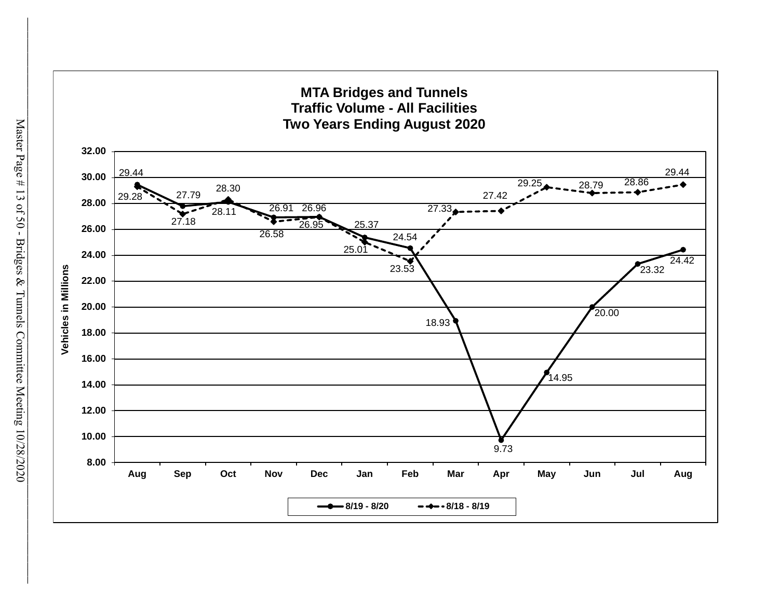

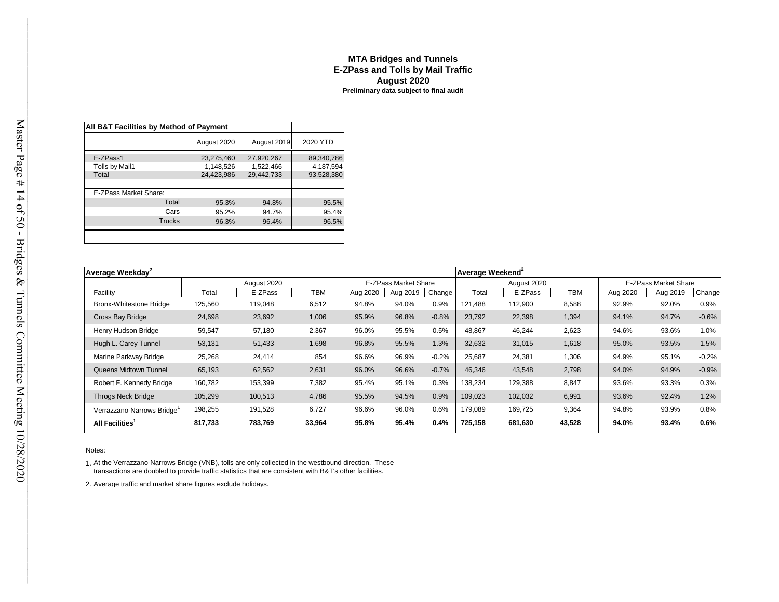#### **MTA Bridges and Tunnels E-ZPass and Tolls by Mail Traffic August 2020 Preliminary data subject to final audit**

|                       | All B&T Facilities by Method of Payment |             |             |            |  |  |  |  |  |  |  |
|-----------------------|-----------------------------------------|-------------|-------------|------------|--|--|--|--|--|--|--|
|                       |                                         | August 2020 | August 2019 | 2020 YTD   |  |  |  |  |  |  |  |
| E-ZPass1              |                                         | 23,275,460  | 27,920,267  | 89,340,786 |  |  |  |  |  |  |  |
| Tolls by Mail1        |                                         | 1,148,526   | 1,522,466   | 4,187,594  |  |  |  |  |  |  |  |
| Total                 |                                         | 24,423,986  | 29,442,733  | 93,528,380 |  |  |  |  |  |  |  |
|                       |                                         |             |             |            |  |  |  |  |  |  |  |
| E-ZPass Market Share: |                                         |             |             |            |  |  |  |  |  |  |  |
|                       | Total                                   | 95.3%       | 94.8%       | 95.5%      |  |  |  |  |  |  |  |
|                       | Cars                                    | 95.2%       | 94.7%       | 95.4%      |  |  |  |  |  |  |  |
|                       | <b>Trucks</b>                           | 96.3%       | 96.4%       | 96.5%      |  |  |  |  |  |  |  |
|                       |                                         |             |             |            |  |  |  |  |  |  |  |
|                       |                                         |             |             |            |  |  |  |  |  |  |  |

| Average Weekday <sup>2</sup>           |         |             |            |          |                      |                     |             |         |            | Average Weekend <sup>2</sup> |          |         |  |  |  |
|----------------------------------------|---------|-------------|------------|----------|----------------------|---------------------|-------------|---------|------------|------------------------------|----------|---------|--|--|--|
|                                        |         | August 2020 |            |          | E-ZPass Market Share |                     | August 2020 |         |            | E-ZPass Market Share         |          |         |  |  |  |
| Facility                               | Total   | E-ZPass     | <b>TBM</b> | Aug 2020 | Aug 2019             | Change <sup>1</sup> | Total       | E-ZPass | <b>TBM</b> | Aug 2020                     | Aug 2019 | Change  |  |  |  |
| Bronx-Whitestone Bridge                | 125,560 | 119,048     | 6,512      | 94.8%    | 94.0%                | 0.9%                | 121,488     | 112,900 | 8,588      | 92.9%                        | 92.0%    | 0.9%    |  |  |  |
| Cross Bay Bridge                       | 24,698  | 23,692      | 1,006      | 95.9%    | 96.8%                | $-0.8%$             | 23,792      | 22,398  | 1,394      | 94.1%                        | 94.7%    | $-0.6%$ |  |  |  |
| Henry Hudson Bridge                    | 59,547  | 57,180      | 2,367      | 96.0%    | 95.5%                | 0.5%                | 48,867      | 46,244  | 2,623      | 94.6%                        | 93.6%    | 1.0%    |  |  |  |
| Hugh L. Carey Tunnel                   | 53,131  | 51,433      | 1,698      | 96.8%    | 95.5%                | 1.3%                | 32,632      | 31,015  | 1,618      | 95.0%                        | 93.5%    | 1.5%    |  |  |  |
| Marine Parkway Bridge                  | 25,268  | 24,414      | 854        | 96.6%    | 96.9%                | $-0.2%$             | 25,687      | 24,381  | 1,306      | 94.9%                        | 95.1%    | $-0.2%$ |  |  |  |
| Queens Midtown Tunnel                  | 65,193  | 62,562      | 2,631      | 96.0%    | 96.6%                | $-0.7%$             | 46,346      | 43,548  | 2,798      | 94.0%                        | 94.9%    | $-0.9%$ |  |  |  |
| Robert F. Kennedy Bridge               | 160,782 | 153,399     | 7,382      | 95.4%    | 95.1%                | 0.3%                | 138,234     | 129,388 | 8,847      | 93.6%                        | 93.3%    | 0.3%    |  |  |  |
| <b>Throgs Neck Bridge</b>              | 105,299 | 100,513     | 4,786      | 95.5%    | 94.5%                | 0.9%                | 109,023     | 102,032 | 6,991      | 93.6%                        | 92.4%    | 1.2%    |  |  |  |
| Verrazzano-Narrows Bridge <sup>1</sup> | 198,255 | 191,528     | 6,727      | 96.6%    | 96.0%                | 0.6%                | 179,089     | 169,725 | 9,364      | 94.8%                        | 93.9%    | 0.8%    |  |  |  |
| All Facilities <sup>1</sup>            | 817,733 | 783,769     | 33,964     | 95.8%    | 95.4%                | 0.4%                | 725,158     | 681,630 | 43,528     | 94.0%                        | 93.4%    | $0.6\%$ |  |  |  |

#### Notes:

1. At the Verrazzano-Narrows Bridge (VNB), tolls are only collected in the westbound direction. These transactions are doubled to provide traffic statistics that are consistent with B&T's other facilities.

2. Average traffic and market share figures exclude holidays.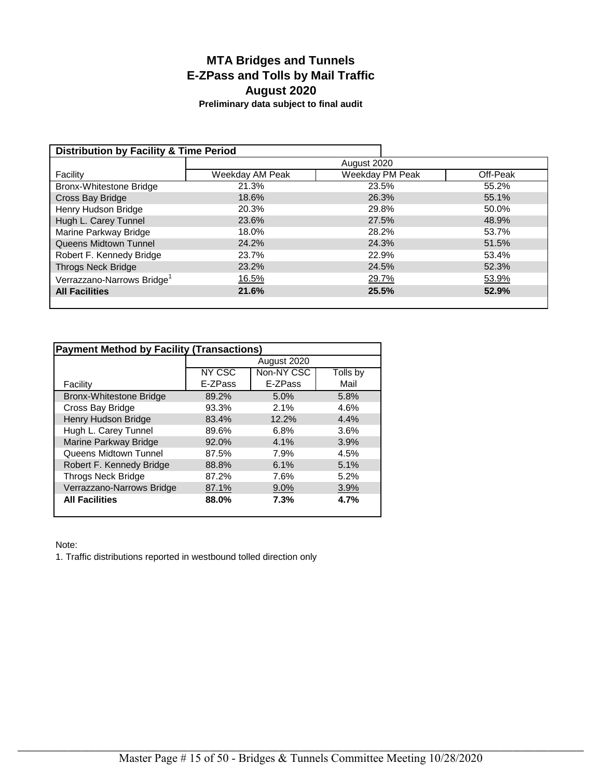# **MTA Bridges and Tunnels E-ZPass and Tolls by Mail Traffic Preliminary data subject to final audit August 2020**

| <b>Distribution by Facility &amp; Time Period</b> |                 |                 |          |  |  |  |  |  |  |
|---------------------------------------------------|-----------------|-----------------|----------|--|--|--|--|--|--|
|                                                   | August 2020     |                 |          |  |  |  |  |  |  |
| Facility                                          | Weekday AM Peak | Weekday PM Peak | Off-Peak |  |  |  |  |  |  |
| <b>Bronx-Whitestone Bridge</b>                    | 21.3%           | 23.5%           | 55.2%    |  |  |  |  |  |  |
| Cross Bay Bridge                                  | 18.6%           | 26.3%           | 55.1%    |  |  |  |  |  |  |
| Henry Hudson Bridge                               | 20.3%           | 29.8%           | 50.0%    |  |  |  |  |  |  |
| Hugh L. Carey Tunnel                              | 23.6%           | 27.5%           | 48.9%    |  |  |  |  |  |  |
| Marine Parkway Bridge                             | 18.0%           | 28.2%           | 53.7%    |  |  |  |  |  |  |
| Queens Midtown Tunnel                             | 24.2%           | 24.3%           | 51.5%    |  |  |  |  |  |  |
| Robert F. Kennedy Bridge                          | 23.7%           | 22.9%           | 53.4%    |  |  |  |  |  |  |
| <b>Throgs Neck Bridge</b>                         | 23.2%           | 24.5%           | 52.3%    |  |  |  |  |  |  |
| Verrazzano-Narrows Bridge <sup>1</sup>            | <u>16.5%</u>    | 29.7%           | 53.9%    |  |  |  |  |  |  |
| <b>All Facilities</b>                             | 21.6%           | 25.5%           | 52.9%    |  |  |  |  |  |  |
|                                                   |                 |                 |          |  |  |  |  |  |  |

| <b>Payment Method by Facility (Transactions)</b> |             |            |          |  |  |  |  |  |  |
|--------------------------------------------------|-------------|------------|----------|--|--|--|--|--|--|
|                                                  | August 2020 |            |          |  |  |  |  |  |  |
|                                                  | NY CSC      | Non-NY CSC | Tolls by |  |  |  |  |  |  |
| Facility                                         | E-ZPass     | E-ZPass    | Mail     |  |  |  |  |  |  |
| Bronx-Whitestone Bridge                          | 89.2%       | 5.0%       | 5.8%     |  |  |  |  |  |  |
| Cross Bay Bridge                                 | 93.3%       | 2.1%       | 4.6%     |  |  |  |  |  |  |
| Henry Hudson Bridge                              | 83.4%       | 12.2%      | 4.4%     |  |  |  |  |  |  |
| Hugh L. Carey Tunnel                             | 89.6%       | 6.8%       | 3.6%     |  |  |  |  |  |  |
| <b>Marine Parkway Bridge</b>                     | 92.0%       | 4.1%       | 3.9%     |  |  |  |  |  |  |
| Queens Midtown Tunnel                            | 87.5%       | 7.9%       | 4.5%     |  |  |  |  |  |  |
| Robert F. Kennedy Bridge                         | 88.8%       | 6.1%       | 5.1%     |  |  |  |  |  |  |
| <b>Throgs Neck Bridge</b>                        | 87.2%       | 7.6%       | 5.2%     |  |  |  |  |  |  |
| Verrazzano-Narrows Bridge                        | 87.1%       | 9.0%       | 3.9%     |  |  |  |  |  |  |
| <b>All Facilities</b>                            | 88.0%       | 7.3%       | 4.7%     |  |  |  |  |  |  |

Note:

1. Traffic distributions reported in westbound tolled direction only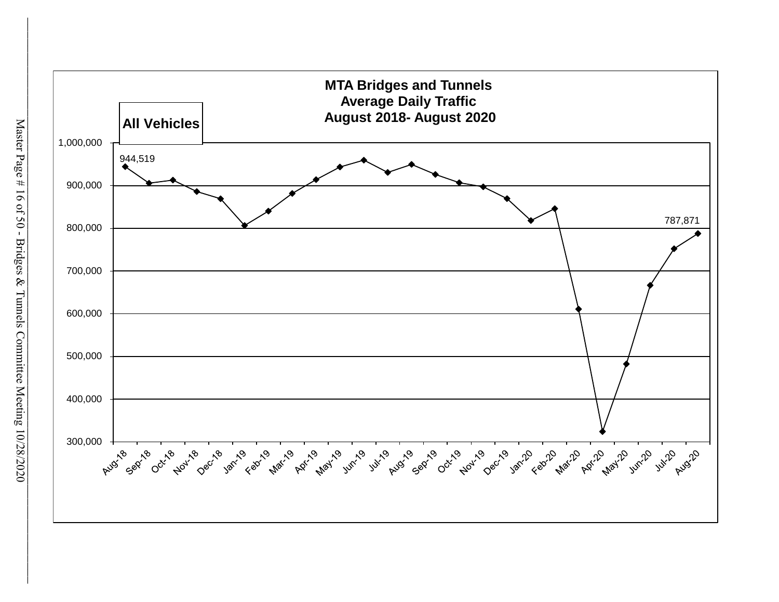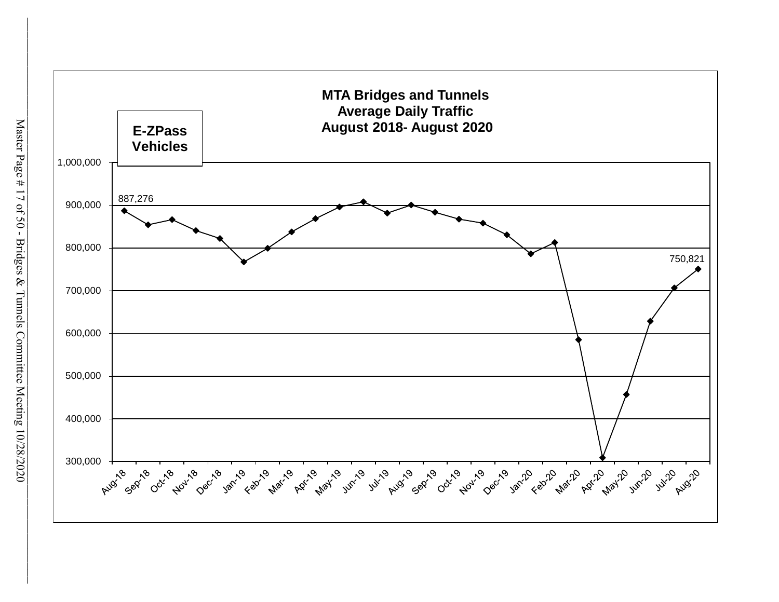

Master Page  $\#$  17 of 50 - Bridges & Tunnels Committee Meeting 10/28/2020 Master Page #17 of 50 -Bridges & Tunnels Committee Meeting 10/28/2020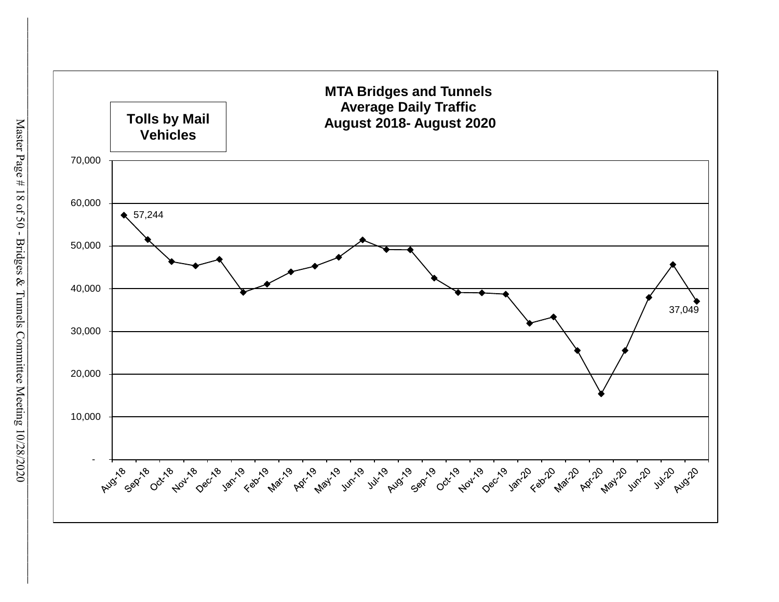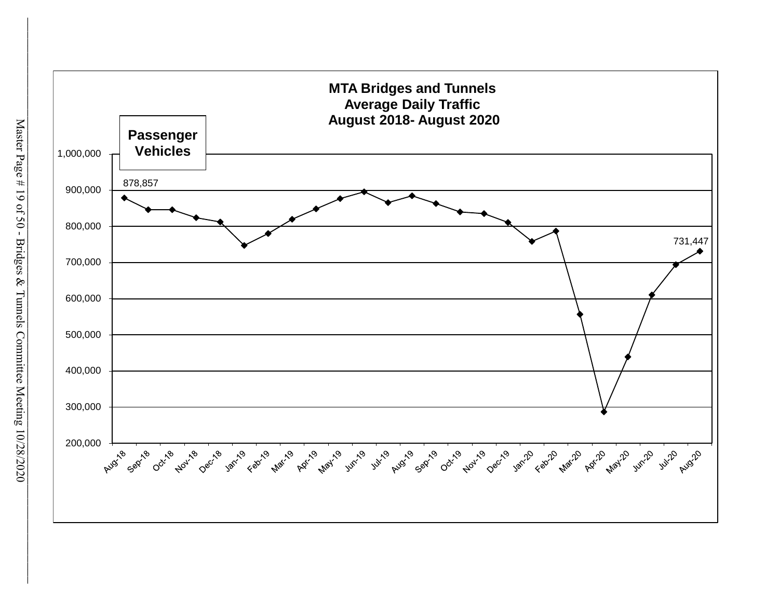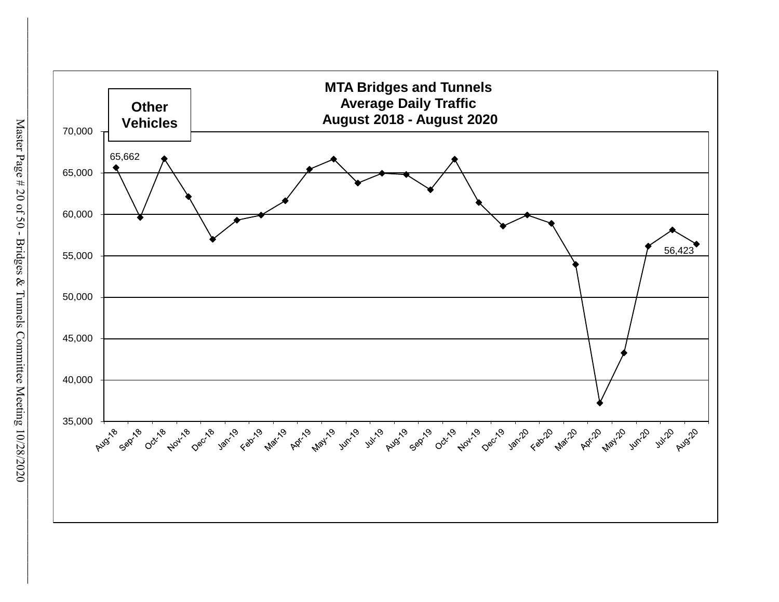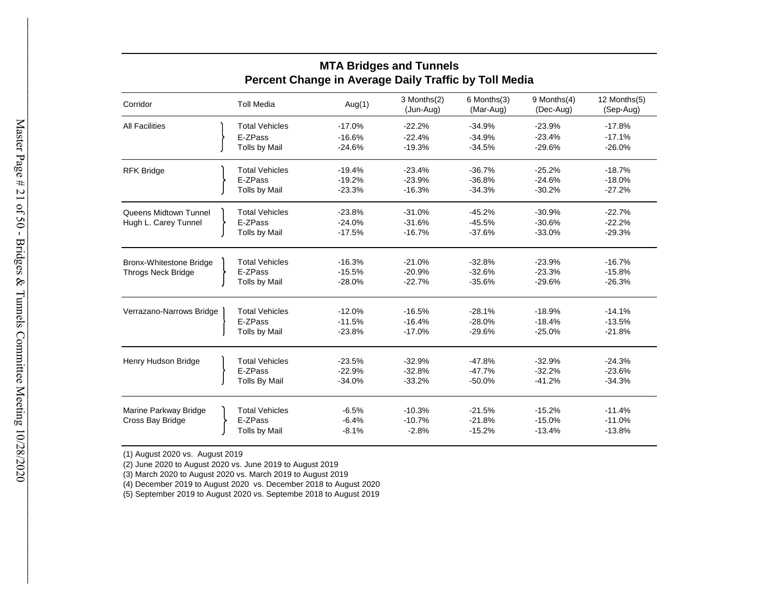| Corridor                  |  | <b>Toll Media</b>                | Aug $(1)$            | 3 Months(2)<br>(Jun-Aug) | 6 Months(3)<br>(Mar-Aug) | 9 Months(4)<br>(Dec-Aug) | 12 Months(5)<br>(Sep-Aug) |
|---------------------------|--|----------------------------------|----------------------|--------------------------|--------------------------|--------------------------|---------------------------|
| <b>All Facilities</b>     |  | <b>Total Vehicles</b>            | $-17.0%$             | $-22.2%$                 | $-34.9%$                 | $-23.9%$                 | $-17.8%$                  |
|                           |  | E-ZPass                          | $-16.6%$             | $-22.4%$                 | $-34.9%$                 | $-23.4%$                 | $-17.1%$                  |
|                           |  | <b>Tolls by Mail</b>             | $-24.6%$             | $-19.3%$                 | $-34.5%$                 | $-29.6%$                 | $-26.0%$                  |
| <b>RFK Bridge</b>         |  | <b>Total Vehicles</b>            | $-19.4%$             | $-23.4%$                 | $-36.7%$                 | $-25.2%$                 | $-18.7%$                  |
|                           |  | E-ZPass                          | $-19.2%$             | $-23.9%$                 | $-36.8%$                 | $-24.6%$                 | $-18.0%$                  |
|                           |  | Tolls by Mail                    | $-23.3%$             | $-16.3%$                 | $-34.3%$                 | $-30.2%$                 | $-27.2%$                  |
| Queens Midtown Tunnel     |  | <b>Total Vehicles</b>            | $-23.8%$             | $-31.0%$                 | $-45.2%$                 | $-30.9%$                 | $-22.7%$                  |
| Hugh L. Carey Tunnel      |  | E-ZPass                          | $-24.0%$             | $-31.6%$                 | $-45.5%$                 | $-30.6%$                 | $-22.2%$                  |
|                           |  | <b>Tolls by Mail</b>             | $-17.5%$             | $-16.7%$                 | $-37.6%$                 | $-33.0%$                 | $-29.3%$                  |
| Bronx-Whitestone Bridge   |  | <b>Total Vehicles</b>            | $-16.3%$             | $-21.0%$                 | $-32.8%$                 | $-23.9%$                 | $-16.7%$                  |
| <b>Throgs Neck Bridge</b> |  | E-ZPass                          | $-15.5%$             | $-20.9%$                 | $-32.6%$                 | $-23.3%$                 | $-15.8%$                  |
|                           |  | Tolls by Mail                    | $-28.0%$             | $-22.7%$                 | $-35.6%$                 | $-29.6%$                 | $-26.3%$                  |
| Verrazano-Narrows Bridge  |  | <b>Total Vehicles</b>            | $-12.0%$             | $-16.5%$                 | $-28.1%$                 | $-18.9%$                 | $-14.1%$                  |
|                           |  | E-ZPass                          | $-11.5%$             | $-16.4%$                 | $-28.0%$                 | $-18.4%$                 | $-13.5%$                  |
|                           |  | <b>Tolls by Mail</b>             | $-23.8%$             | $-17.0%$                 | $-29.6%$                 | $-25.0%$                 | $-21.8%$                  |
|                           |  |                                  |                      |                          |                          |                          |                           |
| Henry Hudson Bridge       |  | <b>Total Vehicles</b><br>E-ZPass | $-23.5%$<br>$-22.9%$ | $-32.9%$<br>$-32.8%$     | $-47.8%$<br>$-47.7%$     | $-32.9%$<br>$-32.2%$     | $-24.3%$<br>$-23.6%$      |
|                           |  | <b>Tolls By Mail</b>             | $-34.0%$             | $-33.2%$                 | $-50.0%$                 | $-41.2%$                 | $-34.3%$                  |
|                           |  |                                  |                      |                          |                          |                          |                           |
| Marine Parkway Bridge     |  | <b>Total Vehicles</b>            | $-6.5%$              | $-10.3%$                 | $-21.5%$                 | $-15.2%$                 | $-11.4%$                  |
| Cross Bay Bridge          |  | E-ZPass                          | $-6.4%$              | $-10.7%$                 | $-21.8%$                 | $-15.0%$                 | $-11.0%$                  |
|                           |  | <b>Tolls by Mail</b>             | $-8.1%$              | $-2.8%$                  | $-15.2%$                 | $-13.4%$                 | $-13.8%$                  |

# **MTA Bridges and Tunnels Percent Change in Average Daily Traffic by Toll Media**

(1) August 2020 vs. August 2019

(2) June 2020 to August 2020 vs. June 2019 to August 2019

(3) March 2020 to August 2020 vs. March 2019 to August 2019

(4) December 2019 to August 2020 vs. December 2018 to August 2020

(5) September 2019 to August 2020 vs. Septembe 2018 to August 2019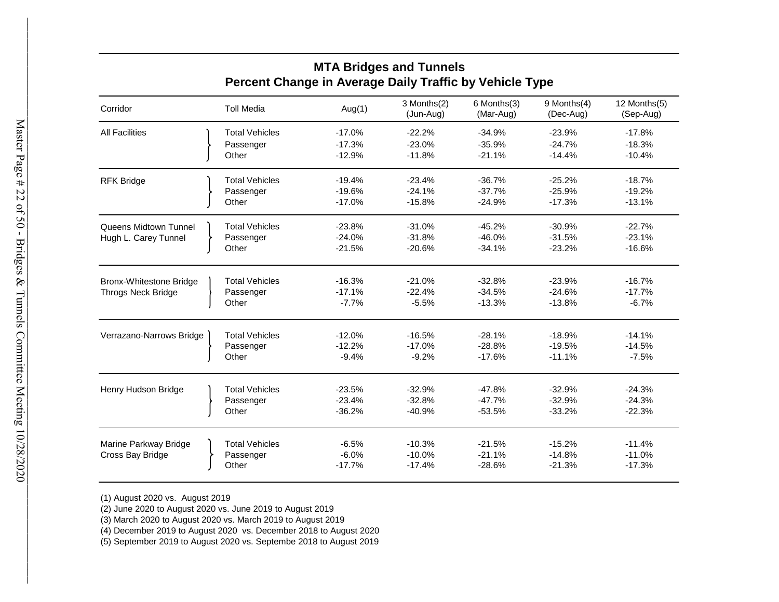| Corridor                  | <b>Toll Media</b>     | Aug $(1)$ | 3 Months(2)<br>(Jun-Aug) | 6 Months(3)<br>(Mar-Aug) | 9 Months(4)<br>(Dec-Aug) | 12 Months(5)<br>(Sep-Aug) |
|---------------------------|-----------------------|-----------|--------------------------|--------------------------|--------------------------|---------------------------|
| <b>All Facilities</b>     | <b>Total Vehicles</b> | $-17.0%$  | $-22.2%$                 | $-34.9%$                 | $-23.9%$                 | $-17.8%$                  |
|                           | Passenger             | $-17.3%$  | $-23.0%$                 | $-35.9%$                 | $-24.7%$                 | $-18.3%$                  |
|                           | Other                 | $-12.9%$  | $-11.8%$                 | $-21.1%$                 | $-14.4%$                 | $-10.4%$                  |
| <b>RFK Bridge</b>         | <b>Total Vehicles</b> | $-19.4%$  | $-23.4%$                 | $-36.7%$                 | $-25.2%$                 | $-18.7%$                  |
|                           | Passenger             | $-19.6%$  | $-24.1%$                 | $-37.7%$                 | $-25.9%$                 | $-19.2%$                  |
|                           | Other                 | $-17.0%$  | $-15.8%$                 | $-24.9%$                 | $-17.3%$                 | $-13.1%$                  |
| Queens Midtown Tunnel     | <b>Total Vehicles</b> | $-23.8%$  | $-31.0%$                 | $-45.2%$                 | $-30.9%$                 | $-22.7%$                  |
| Hugh L. Carey Tunnel      | Passenger             | $-24.0%$  | $-31.8%$                 | $-46.0%$                 | $-31.5%$                 | $-23.1%$                  |
|                           | Other                 | $-21.5%$  | $-20.6%$                 | $-34.1%$                 | $-23.2%$                 | $-16.6%$                  |
| Bronx-Whitestone Bridge   | <b>Total Vehicles</b> | $-16.3%$  | $-21.0%$                 | $-32.8%$                 | $-23.9%$                 | $-16.7%$                  |
| <b>Throgs Neck Bridge</b> | Passenger             | $-17.1%$  | $-22.4%$                 | $-34.5%$                 | $-24.6%$                 | $-17.7%$                  |
|                           | Other                 | $-7.7%$   | $-5.5%$                  | $-13.3%$                 | $-13.8%$                 | $-6.7%$                   |
| Verrazano-Narrows Bridge  | <b>Total Vehicles</b> | $-12.0%$  | $-16.5%$                 | $-28.1%$                 | $-18.9%$                 | $-14.1%$                  |
|                           | Passenger             | $-12.2%$  | $-17.0%$                 | $-28.8%$                 | $-19.5%$                 | $-14.5%$                  |
|                           | Other                 | $-9.4%$   | $-9.2%$                  | $-17.6%$                 | $-11.1%$                 | $-7.5%$                   |
| Henry Hudson Bridge       | <b>Total Vehicles</b> | $-23.5%$  | $-32.9%$                 | $-47.8%$                 | $-32.9%$                 | $-24.3%$                  |
|                           | Passenger             | $-23.4%$  | $-32.8%$                 | $-47.7%$                 | $-32.9%$                 | $-24.3%$                  |
|                           | Other                 | $-36.2%$  | $-40.9%$                 | $-53.5%$                 | $-33.2%$                 | $-22.3%$                  |
| Marine Parkway Bridge     | <b>Total Vehicles</b> | $-6.5%$   | $-10.3%$                 | $-21.5%$                 | $-15.2%$                 | $-11.4%$                  |
| Cross Bay Bridge          | Passenger             | $-6.0%$   | $-10.0%$                 | $-21.1%$                 | $-14.8%$                 | $-11.0%$                  |
|                           | Other                 | $-17.7%$  | $-17.4%$                 | $-28.6%$                 | $-21.3%$                 | $-17.3%$                  |

**MTA Bridges and Tunnels Percent Change in Average Daily Traffic by Vehicle Type**

(1) August 2020 vs. August 2019

(2) June 2020 to August 2020 vs. June 2019 to August 2019

(3) March 2020 to August 2020 vs. March 2019 to August 2019

(4) December 2019 to August 2020 vs. December 2018 to August 2020

(5) September 2019 to August 2020 vs. Septembe 2018 to August 2019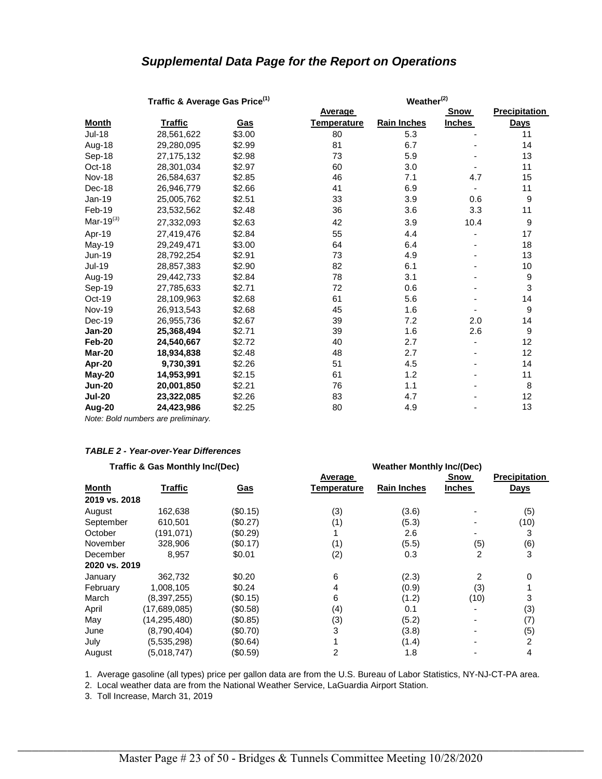# *Supplemental Data Page for the Report on Operations*

|  |  | Traffic & Average Gas Price |  |  |
|--|--|-----------------------------|--|--|
|--|--|-----------------------------|--|--|

|                 | Traffic & Average Gas Price <sup>(1)</sup> |            | Weather <sup>(2)</sup> |                    |                          |                      |  |  |  |  |
|-----------------|--------------------------------------------|------------|------------------------|--------------------|--------------------------|----------------------|--|--|--|--|
|                 |                                            |            | Average                |                    | <b>Snow</b>              | <b>Precipitation</b> |  |  |  |  |
| <u>Month</u>    | <u>Traffic</u>                             | <u>Gas</u> | <b>Temperature</b>     | <b>Rain Inches</b> | <b>Inches</b>            | <b>Days</b>          |  |  |  |  |
| <b>Jul-18</b>   | 28,561,622                                 | \$3.00     | 80                     | 5.3                |                          | 11                   |  |  |  |  |
| Aug-18          | 29,280,095                                 | \$2.99     | 81                     | 6.7                |                          | 14                   |  |  |  |  |
| Sep-18          | 27, 175, 132                               | \$2.98     | 73                     | 5.9                |                          | 13                   |  |  |  |  |
| Oct-18          | 28,301,034                                 | \$2.97     | 60                     | 3.0                |                          | 11                   |  |  |  |  |
| Nov-18          | 26,584,637                                 | \$2.85     | 46                     | 7.1                | 4.7                      | 15                   |  |  |  |  |
| Dec-18          | 26,946,779                                 | \$2.66     | 41                     | 6.9                |                          | 11                   |  |  |  |  |
| <b>Jan-19</b>   | 25,005,762                                 | \$2.51     | 33                     | 3.9                | 0.6                      | 9                    |  |  |  |  |
| Feb-19          | 23,532,562                                 | \$2.48     | 36                     | 3.6                | 3.3                      | 11                   |  |  |  |  |
| Mar-19 $^{(3)}$ | 27,332,093                                 | \$2.63     | 42                     | 3.9                | 10.4                     | $\boldsymbol{9}$     |  |  |  |  |
| Apr-19          | 27,419,476                                 | \$2.84     | 55                     | 4.4                |                          | 17                   |  |  |  |  |
| May-19          | 29,249,471                                 | \$3.00     | 64                     | 6.4                |                          | 18                   |  |  |  |  |
| Jun-19          | 28,792,254                                 | \$2.91     | 73                     | 4.9                |                          | 13                   |  |  |  |  |
| <b>Jul-19</b>   | 28,857,383                                 | \$2.90     | 82                     | 6.1                |                          | 10                   |  |  |  |  |
| Aug-19          | 29,442,733                                 | \$2.84     | 78                     | 3.1                |                          | 9                    |  |  |  |  |
| Sep-19          | 27,785,633                                 | \$2.71     | 72                     | 0.6                |                          | $\mathsf 3$          |  |  |  |  |
| Oct-19          | 28,109,963                                 | \$2.68     | 61                     | 5.6                |                          | 14                   |  |  |  |  |
| <b>Nov-19</b>   | 26,913,543                                 | \$2.68     | 45                     | 1.6                |                          | 9                    |  |  |  |  |
| Dec-19          | 26,955,736                                 | \$2.67     | 39                     | 7.2                | 2.0                      | 14                   |  |  |  |  |
| <b>Jan-20</b>   | 25,368,494                                 | \$2.71     | 39                     | 1.6                | 2.6                      | 9                    |  |  |  |  |
| Feb-20          | 24,540,667                                 | \$2.72     | 40                     | 2.7                | $\overline{\phantom{0}}$ | 12                   |  |  |  |  |
| Mar-20          | 18,934,838                                 | \$2.48     | 48                     | 2.7                |                          | 12                   |  |  |  |  |
| Apr-20          | 9,730,391                                  | \$2.26     | 51                     | 4.5                |                          | 14                   |  |  |  |  |
| May-20          | 14,953,991                                 | \$2.15     | 61                     | 1.2                |                          | 11                   |  |  |  |  |
| <b>Jun-20</b>   | 20,001,850                                 | \$2.21     | 76                     | 1.1                |                          | 8                    |  |  |  |  |
| <b>Jul-20</b>   | 23,322,085                                 | \$2.26     | 83                     | 4.7                |                          | 12                   |  |  |  |  |
| Aug-20          | 24,423,986                                 | \$2.25     | 80                     | 4.9                |                          | 13                   |  |  |  |  |

*Note: Bold numbers are preliminary.*

### *TABLE 2 - Year-over-Year Differences*

#### **Traffic & Gas Monthly Inc/(Dec) Weather Monthly Inc/(Dec)**

|                |          | <b>Average</b> |                    | Snow          | <b>Precipitation</b> |
|----------------|----------|----------------|--------------------|---------------|----------------------|
| <b>Traffic</b> | Gas      | Temperature    | <b>Rain Inches</b> | <b>Inches</b> | <b>Days</b>          |
| 2019 vs. 2018  |          |                |                    |               |                      |
| 162,638        | (S0.15)  | (3)            | (3.6)              |               | (5)                  |
| 610,501        | (\$0.27) | (1)            | (5.3)              |               | (10)                 |
| (191,071)      | (\$0.29) |                | 2.6                |               | 3                    |
| 328.906        | (\$0.17) | (1)            | (5.5)              | (5)           | (6)                  |
| 8.957          | \$0.01   | (2)            | 0.3                | 2             | 3                    |
| 2020 vs. 2019  |          |                |                    |               |                      |
| 362,732        | \$0.20   | 6              | (2.3)              | 2             | 0                    |
| 1,008,105      | \$0.24   | 4              | (0.9)              | (3)           |                      |
| (8,397,255)    | (S0.15)  | 6              | (1.2)              | (10)          | 3                    |
| (17,689,085)   | (\$0.58) | (4)            | 0.1                |               | (3)                  |
| (14,295,480)   | (\$0.85) | (3)            | (5.2)              |               | (7)                  |
| (8.790.404)    | (\$0.70) | 3              | (3.8)              |               | (5)                  |
| (5,535,298)    | (\$0.64) |                | (1.4)              |               | 2                    |
| (5,018,747)    | (\$0.59) | 2              | 1.8                |               | 4                    |
|                |          |                |                    |               |                      |

1. Average gasoline (all types) price per gallon data are from the U.S. Bureau of Labor Statistics, NY-NJ-CT-PA area.

2. Local weather data are from the National Weather Service, LaGuardia Airport Station.

3. Toll Increase, March 31, 2019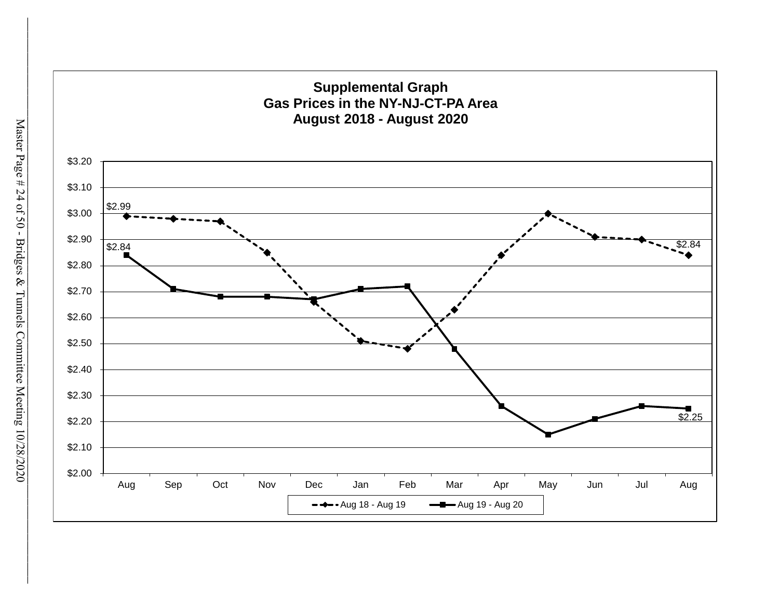

Master Page  $\#\ 24$  of 50 - Bridges & Tunnels Committee Meeting 10/28/2020 Master Page # 24 of 50 -Bridges & Tunnels Committee Meeting 10/28/2020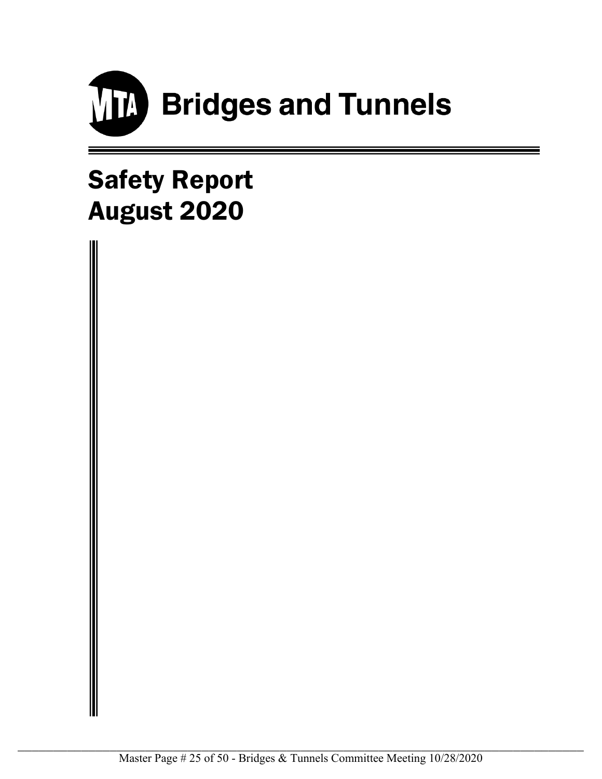

# Safety Report August 2020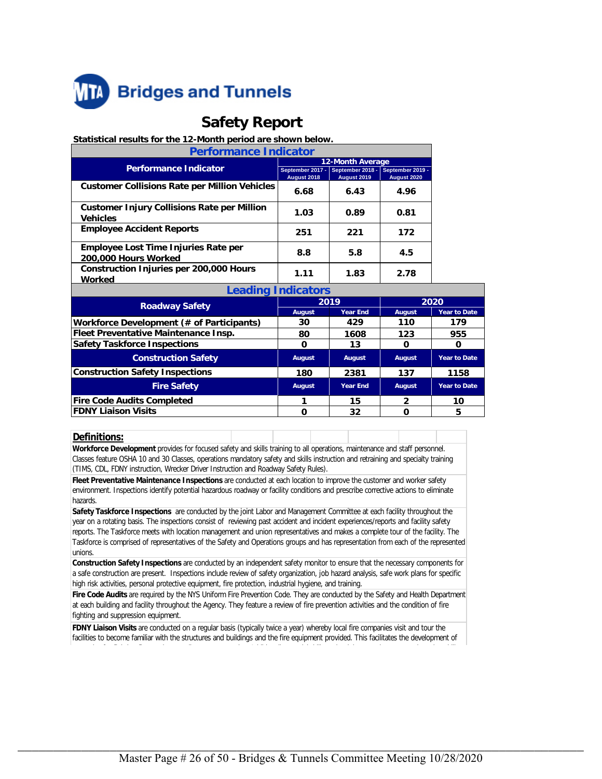

# **Safety Report**

#### **Statistical results for the 12-Month period are shown below.**

| <b>Performance Indicator</b>                                          |                                 |                                        |                                        |  |  |  |  |  |  |  |
|-----------------------------------------------------------------------|---------------------------------|----------------------------------------|----------------------------------------|--|--|--|--|--|--|--|
|                                                                       |                                 | <b>12-Month Average</b>                |                                        |  |  |  |  |  |  |  |
| <b>Performance Indicator</b>                                          | September 2017 -<br>August 2018 | September 2018 -<br><b>August 2019</b> | September 2019 -<br><b>August 2020</b> |  |  |  |  |  |  |  |
| <b>Customer Collisions Rate per Million Vehicles</b>                  | 6.68                            | 6.43                                   | 4.96                                   |  |  |  |  |  |  |  |
| <b>Customer Injury Collisions Rate per Million</b><br><b>Vehicles</b> | 1.03                            | 0.89                                   | 0.81                                   |  |  |  |  |  |  |  |
| <b>Employee Accident Reports</b>                                      | 251                             | 221                                    | 172                                    |  |  |  |  |  |  |  |
| <b>Employee Lost Time Injuries Rate per</b><br>200,000 Hours Worked   | 8.8                             | 5.8                                    | 4.5                                    |  |  |  |  |  |  |  |
| <b>Construction Injuries per 200,000 Hours</b><br>Worked              | 1.11                            | 1.83                                   | 2.78                                   |  |  |  |  |  |  |  |

| <b>Leading Indicators</b>                        |        |                 |               |                     |  |  |  |  |  |  |  |
|--------------------------------------------------|--------|-----------------|---------------|---------------------|--|--|--|--|--|--|--|
| <b>Roadway Safety</b>                            |        | 2019            | 2020          |                     |  |  |  |  |  |  |  |
|                                                  | August | <b>Year End</b> | August        | <b>Year to Date</b> |  |  |  |  |  |  |  |
| <b>Workforce Development (# of Participants)</b> | 30     | 429             | 110           | 179                 |  |  |  |  |  |  |  |
| Fleet Preventative Maintenance Insp.             | 80     | 1608            | 123           | 955                 |  |  |  |  |  |  |  |
| <b>Safety Taskforce Inspections</b>              | Ω      | 13              | O             | O                   |  |  |  |  |  |  |  |
| <b>Construction Safety</b>                       | August | <b>August</b>   | <b>August</b> | <b>Year to Date</b> |  |  |  |  |  |  |  |
| <b>Construction Safety Inspections</b>           | 180    | 2381            | 137           | 1158                |  |  |  |  |  |  |  |
| <b>Fire Safety</b>                               | August | <b>Year End</b> | August        | <b>Year to Date</b> |  |  |  |  |  |  |  |
| <b>Fire Code Audits Completed</b>                |        | 15              | 2             | 10                  |  |  |  |  |  |  |  |
| <b>FDNY Liaison Visits</b>                       |        | 32              |               | 5                   |  |  |  |  |  |  |  |

#### **Definitions:**

**Workforce Development** provides for focused safety and skills training to all operations, maintenance and staff personnel. Classes feature OSHA 10 and 30 Classes, operations mandatory safety and skills instruction and retraining and specialty training (TIMS, CDL, FDNY instruction, Wrecker Driver Instruction and Roadway Safety Rules).

**Fleet Preventative Maintenance Inspections** are conducted at each location to improve the customer and worker safety environment. Inspections identify potential hazardous roadway or facility conditions and prescribe corrective actions to eliminate hazards.

**Safety Taskforce Inspections** are conducted by the joint Labor and Management Committee at each facility throughout the year on a rotating basis. The inspections consist of reviewing past accident and incident experiences/reports and facility safety reports. The Taskforce meets with location management and union representatives and makes a complete tour of the facility. The Taskforce is comprised of representatives of the Safety and Operations groups and has representation from each of the represented unions.

**Construction Safety Inspections** are conducted by an independent safety monitor to ensure that the necessary components for a safe construction are present. Inspections include review of safety organization, job hazard analysis, safe work plans for specific high risk activities, personal protective equipment, fire protection, industrial hygiene, and training.

**Fire Code Audits** are required by the NYS Uniform Fire Prevention Code. They are conducted by the Safety and Health Department at each building and facility throughout the Agency. They feature a review of fire prevention activities and the condition of fire fighting and suppression equipment.

**FDNY Liaison Visits** are conducted on a regular basis (typically twice a year) whereby local fire companies visit and tour the facilities to become familiar with the structures and buildings and the fire equipment provided. This facilitates the development of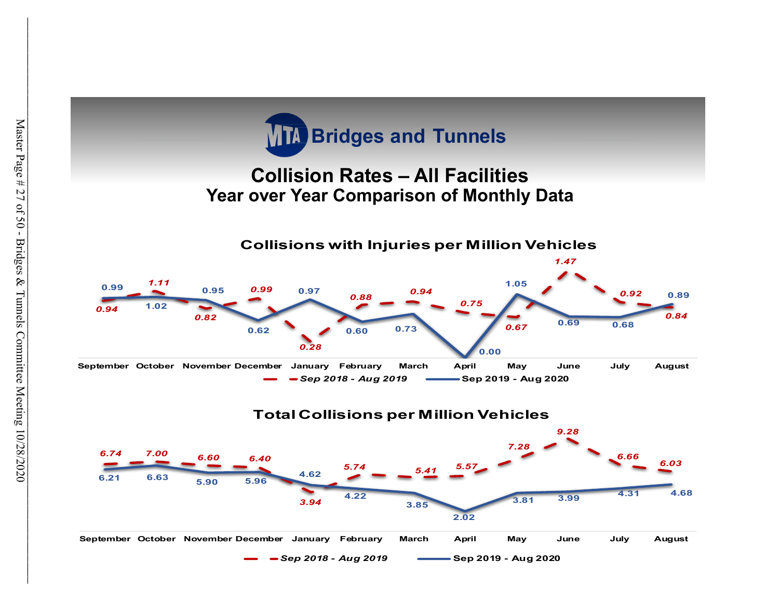

# **Collision Rates – All Facilities Year over Year Comparison of Monthly Data**



**Total Collisions per Million Vehicles**

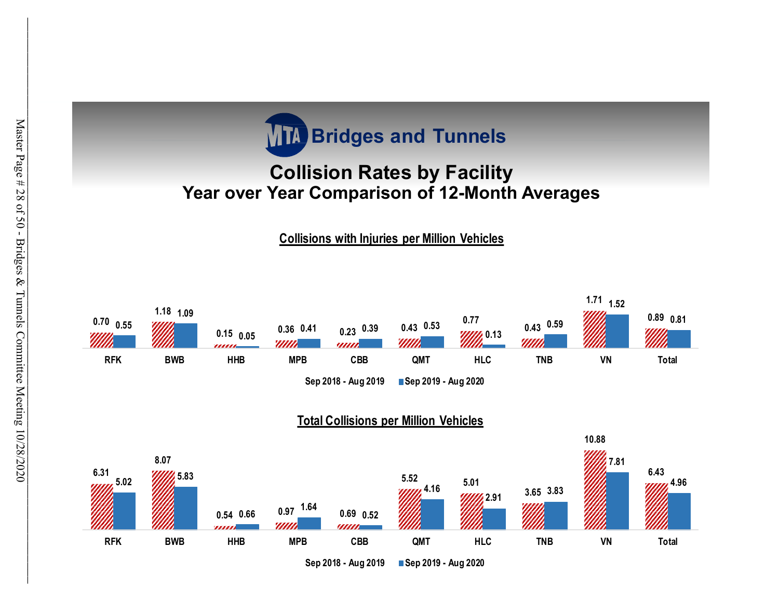

# **Collision Rates by Facility Year over Year Comparison of 12-Month Averages**

**Collisions with Injuries per Million Vehicles**



**Sep 2018 - Aug 2019 Sep 2019 - Aug 2020**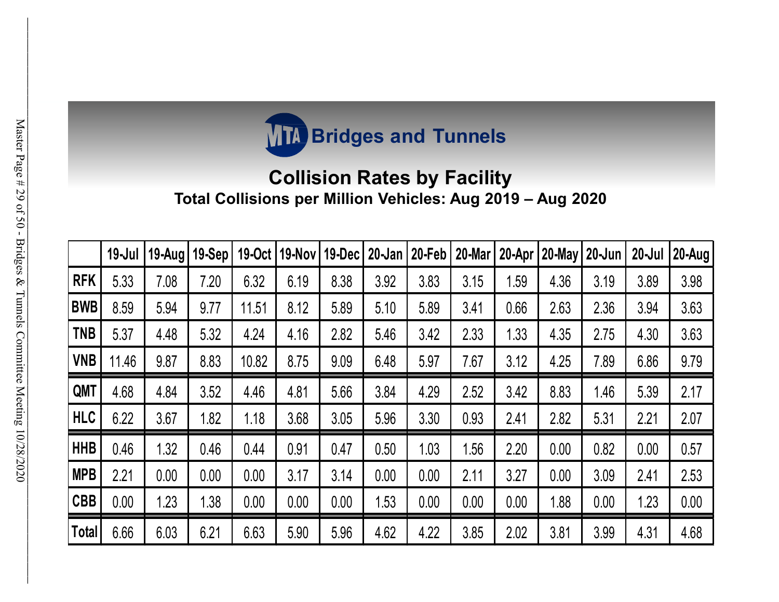

# **Collision Rates by Facility Total Collisions per Million Vehicles: Aug 2019 – Aug 2020**

|              | 19-Jul | 19-Aug | 19-Sep | <b>19-Oct</b> | 19-Nov | 19-Dec | $20$ -Jan | $20$ -Feb | 20-Mar | 20-Apr | $ 20-May$ | 20-Jun | $20 -$ Jul | 20-Aug |
|--------------|--------|--------|--------|---------------|--------|--------|-----------|-----------|--------|--------|-----------|--------|------------|--------|
| <b>RFK</b>   | 5.33   | 7.08   | 7.20   | 6.32          | 6.19   | 8.38   | 3.92      | 3.83      | 3.15   | 1.59   | 4.36      | 3.19   | 3.89       | 3.98   |
| <b>BWB</b>   | 8.59   | 5.94   | 9.77   | 11.51         | 8.12   | 5.89   | 5.10      | 5.89      | 3.41   | 0.66   | 2.63      | 2.36   | 3.94       | 3.63   |
| <b>TNB</b>   | 5.37   | 4.48   | 5.32   | 4.24          | 4.16   | 2.82   | 5.46      | 3.42      | 2.33   | 1.33   | 4.35      | 2.75   | 4.30       | 3.63   |
| <b>VNB</b>   | 11.46  | 9.87   | 8.83   | 10.82         | 8.75   | 9.09   | 6.48      | 5.97      | 7.67   | 3.12   | 4.25      | 7.89   | 6.86       | 9.79   |
| <b>QMT</b>   | 4.68   | 4.84   | 3.52   | 4.46          | 4.81   | 5.66   | 3.84      | 4.29      | 2.52   | 3.42   | 8.83      | 1.46   | 5.39       | 2.17   |
| <b>HLC</b>   | 6.22   | 3.67   | 1.82   | 1.18          | 3.68   | 3.05   | 5.96      | 3.30      | 0.93   | 2.41   | 2.82      | 5.31   | 2.21       | 2.07   |
| <b>HHB</b>   | 0.46   | 1.32   | 0.46   | 0.44          | 0.91   | 0.47   | 0.50      | 1.03      | 1.56   | 2.20   | 0.00      | 0.82   | 0.00       | 0.57   |
| <b>MPB</b>   | 2.21   | 0.00   | 0.00   | 0.00          | 3.17   | 3.14   | 0.00      | 0.00      | 2.11   | 3.27   | 0.00      | 3.09   | 2.41       | 2.53   |
| <b>CBB</b>   | 0.00   | 1.23   | 1.38   | 0.00          | 0.00   | 0.00   | 1.53      | 0.00      | 0.00   | 0.00   | 1.88      | 0.00   | 1.23       | 0.00   |
| <b>Total</b> | 6.66   | 6.03   | 6.21   | 6.63          | 5.90   | 5.96   | 4.62      | 4.22      | 3.85   | 2.02   | 3.81      | 3.99   | 4.31       | 4.68   |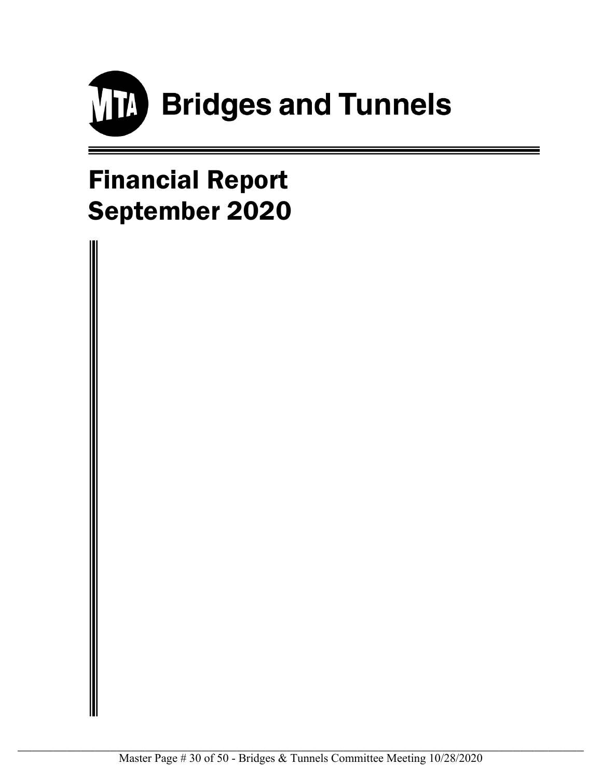

# Financial Report September 2020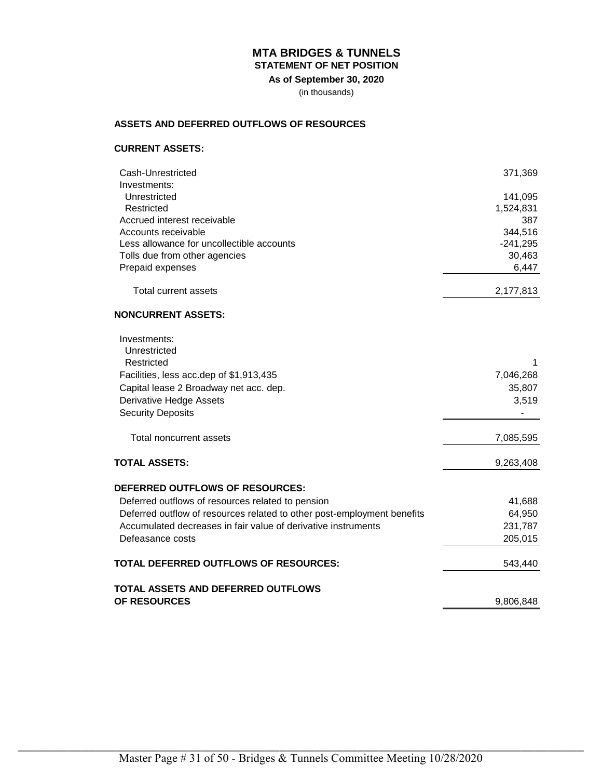# **MTA BRIDGES & TUNNELS**

**STATEMENT OF NET POSITION**

**As of September 30, 2020**

(in thousands)

# **ASSETS AND DEFERRED OUTFLOWS OF RESOURCES**

# **CURRENT ASSETS:**

| Cash-Unrestricted                         | 371,369    |
|-------------------------------------------|------------|
| Investments:                              |            |
| Unrestricted                              | 141,095    |
| Restricted                                | 1,524,831  |
| Accrued interest receivable               | 387        |
| Accounts receivable                       | 344,516    |
| Less allowance for uncollectible accounts | $-241.295$ |
| Tolls due from other agencies             | 30,463     |
| Prepaid expenses                          | 6,447      |
| Total current assets                      | 2,177,813  |

# **NONCURRENT ASSETS:**

| Investments:                                                            |           |
|-------------------------------------------------------------------------|-----------|
| Unrestricted                                                            |           |
| Restricted                                                              |           |
| Facilities, less acc.dep of \$1,913,435                                 | 7,046,268 |
| Capital lease 2 Broadway net acc. dep.                                  | 35,807    |
| Derivative Hedge Assets                                                 | 3,519     |
| <b>Security Deposits</b>                                                |           |
| Total noncurrent assets                                                 | 7,085,595 |
| <b>TOTAL ASSETS:</b>                                                    | 9,263,408 |
| DEFERRED OUTFLOWS OF RESOURCES:                                         |           |
| Deferred outflows of resources related to pension                       | 41,688    |
| Deferred outflow of resources related to other post-employment benefits | 64,950    |
| Accumulated decreases in fair value of derivative instruments           | 231,787   |
| Defeasance costs                                                        | 205,015   |
| TOTAL DEFERRED OUTFLOWS OF RESOURCES:                                   | 543,440   |
| TOTAL ASSETS AND DEFERRED OUTFLOWS                                      |           |
| OF RESOURCES                                                            | 9,806,848 |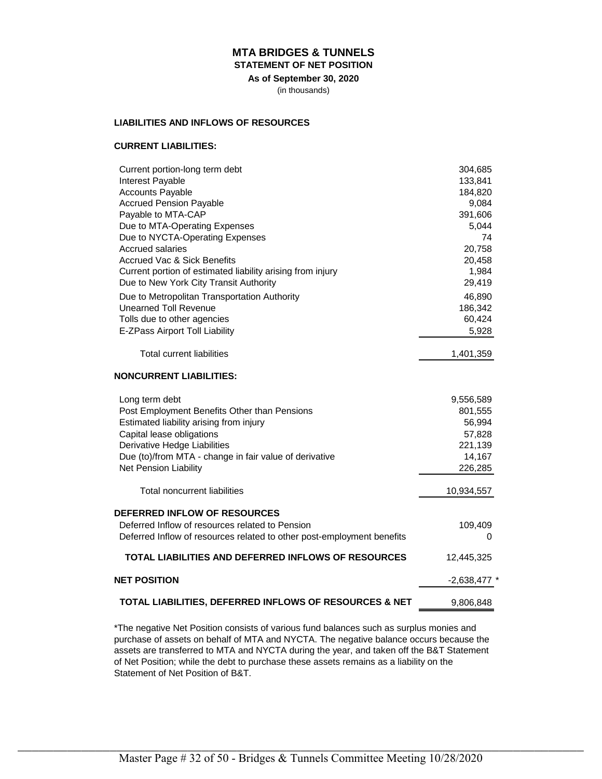### **MTA BRIDGES & TUNNELS STATEMENT OF NET POSITION**

**As of September 30, 2020**

(in thousands)

#### **LIABILITIES AND INFLOWS OF RESOURCES**

### **CURRENT LIABILITIES:**

| Current portion-long term debt                                         | 304,685      |
|------------------------------------------------------------------------|--------------|
| Interest Payable                                                       | 133,841      |
| <b>Accounts Payable</b>                                                | 184,820      |
| <b>Accrued Pension Payable</b>                                         | 9,084        |
| Payable to MTA-CAP                                                     | 391,606      |
| Due to MTA-Operating Expenses                                          | 5,044        |
| Due to NYCTA-Operating Expenses                                        | 74           |
| <b>Accrued salaries</b>                                                | 20,758       |
| <b>Accrued Vac &amp; Sick Benefits</b>                                 | 20,458       |
| Current portion of estimated liability arising from injury             | 1,984        |
| Due to New York City Transit Authority                                 | 29,419       |
| Due to Metropolitan Transportation Authority                           | 46,890       |
| <b>Unearned Toll Revenue</b>                                           | 186,342      |
| Tolls due to other agencies                                            | 60,424       |
| E-ZPass Airport Toll Liability                                         | 5,928        |
| <b>Total current liabilities</b>                                       | 1,401,359    |
| <b>NONCURRENT LIABILITIES:</b>                                         |              |
| Long term debt                                                         | 9,556,589    |
| Post Employment Benefits Other than Pensions                           | 801,555      |
| Estimated liability arising from injury                                | 56,994       |
| Capital lease obligations                                              | 57,828       |
| Derivative Hedge Liabilities                                           | 221,139      |
| Due (to)/from MTA - change in fair value of derivative                 | 14,167       |
| <b>Net Pension Liability</b>                                           | 226,285      |
| <b>Total noncurrent liabilities</b>                                    | 10,934,557   |
| <b>DEFERRED INFLOW OF RESOURCES</b>                                    |              |
| Deferred Inflow of resources related to Pension                        | 109,409      |
| Deferred Inflow of resources related to other post-employment benefits | 0            |
| TOTAL LIABILITIES AND DEFERRED INFLOWS OF RESOURCES                    | 12,445,325   |
| <b>NET POSITION</b>                                                    | $-2,638,477$ |
| TOTAL LIABILITIES, DEFERRED INFLOWS OF RESOURCES & NET                 | 9,806,848    |

\*The negative Net Position consists of various fund balances such as surplus monies and purchase of assets on behalf of MTA and NYCTA. The negative balance occurs because the assets are transferred to MTA and NYCTA during the year, and taken off the B&T Statement of Net Position; while the debt to purchase these assets remains as a liability on the Statement of Net Position of B&T.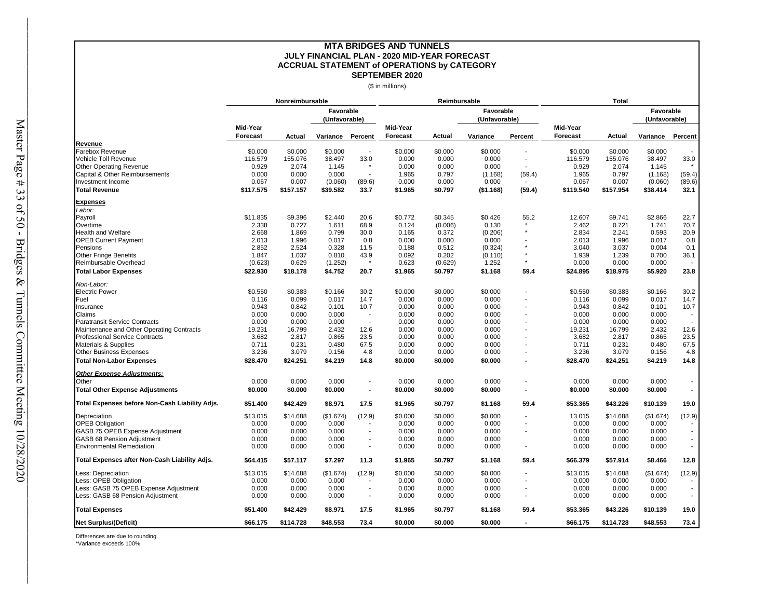#### **ACCRUAL STATEMENT of OPERATIONS by CATEGORY MTA BRIDGES AND TUNNELS SEPTEMBER 2020 JULY FINANCIAL PLAN - 2020 MID-YEAR FORECAST**

(\$ in millions)

|                                                   |                    | Nonreimbursable    |                            |                          |                  | Reimbursable     |                            | <b>Total</b> |                    |                    |                            |                |
|---------------------------------------------------|--------------------|--------------------|----------------------------|--------------------------|------------------|------------------|----------------------------|--------------|--------------------|--------------------|----------------------------|----------------|
|                                                   |                    |                    | Favorable<br>(Unfavorable) |                          |                  |                  | Favorable<br>(Unfavorable) |              |                    |                    | Favorable<br>(Unfavorable) |                |
|                                                   | Mid-Year           |                    |                            |                          | Mid-Year         |                  |                            |              | Mid-Year           |                    |                            |                |
|                                                   | <b>Forecast</b>    | Actual             | Variance                   | Percent                  | Forecast         | Actual           | Variance                   | Percent      | Forecast           | Actual             | Variance                   | Percent        |
| Revenue                                           |                    |                    |                            |                          |                  |                  |                            |              |                    |                    |                            |                |
| Farebox Revenue                                   | \$0.000            | \$0.000            | \$0.000                    |                          | \$0.000          | \$0.000          | \$0.000                    |              | \$0.000            | \$0.000            | \$0.000                    |                |
| Vehicle Toll Revenue                              | 116.579            | 155.076            | 38.497                     | 33.0                     | 0.000            | 0.000            | 0.000                      |              | 116.579            | 155.076            | 38.497                     | 33.0           |
| Other Operating Revenue                           | 0.929              | 2.074              | 1.145                      |                          | 0.000            | 0.000            | 0.000                      |              | 0.929              | 2.074              | 1.145                      |                |
| Capital & Other Reimbursements                    | 0.000              | 0.000              | 0.000                      |                          | 1.965            | 0.797            | (1.168)                    | (59.4)       | 1.965              | 0.797              | (1.168)                    | (59.4)         |
| Investment Income<br>Total Revenue                | 0.067<br>\$117.575 | 0.007<br>\$157.157 | (0.060)<br>\$39.582        | (89.6)<br>33.7           | 0.000<br>\$1.965 | 0.000<br>\$0.797 | 0.000<br>(\$1.168)         | (59.4)       | 0.067<br>\$119.540 | 0.007<br>\$157.954 | (0.060)<br>\$38.414        | (89.6)<br>32.1 |
|                                                   |                    |                    |                            |                          |                  |                  |                            |              |                    |                    |                            |                |
| Expenses                                          |                    |                    |                            |                          |                  |                  |                            |              |                    |                    |                            |                |
| Labor:                                            |                    |                    |                            |                          |                  |                  |                            |              |                    |                    |                            |                |
| Payroll                                           | \$11.835           | \$9.396            | \$2.440                    | 20.6                     | \$0.772          | \$0.345          | \$0.426                    | 55.2         | 12.607             | \$9.741            | \$2.866                    | 22.7           |
| Overtime                                          | 2.338<br>2.668     | 0.727              | 1.611<br>0.799             | 68.9                     | 0.124            | (0.006)<br>0.372 | 0.130<br>(0.206)           |              | 2.462<br>2.834     | 0.721<br>2.241     | 1.741<br>0.593             | 70.7           |
| Health and Welfare<br><b>OPEB Current Payment</b> | 2.013              | 1.869<br>1.996     | 0.017                      | 30.0                     | 0.165<br>0.000   | 0.000            | 0.000                      |              | 2.013              | 1.996              | 0.017                      | 20.9           |
| Pensions                                          | 2.852              | 2.524              | 0.328                      | 0.8<br>11.5              |                  |                  |                            |              | 3.040              | 3.037              | 0.004                      | 0.8            |
| <b>Other Fringe Benefits</b>                      | 1.847              | 1.037              | 0.810                      | 43.9                     | 0.188<br>0.092   | 0.512<br>0.202   | (0.324)<br>(0.110)         |              | 1.939              | 1.239              | 0.700                      | 0.1<br>36.1    |
| Reimbursable Overhead                             | (0.623)            | 0.629              | (1.252)                    |                          | 0.623            | (0.629)          | 1.252                      |              | 0.000              | 0.000              | 0.000                      |                |
| <b>Total Labor Expenses</b>                       | \$22.930           | \$18.178           | \$4.752                    | 20.7                     | \$1.965          | \$0.797          | \$1.168                    | 59.4         | \$24.895           | \$18.975           | \$5.920                    | 23.8           |
|                                                   |                    |                    |                            |                          |                  |                  |                            |              |                    |                    |                            |                |
| Non-Labor:                                        |                    |                    |                            |                          |                  |                  |                            |              |                    |                    |                            |                |
| Electric Power                                    | \$0.550            | \$0.383            | \$0.166                    | 30.2                     | \$0.000          | \$0.000          | \$0.000                    |              | \$0.550            | \$0.383            | \$0.166                    | 30.2           |
| Fuel                                              | 0.116              | 0.099              | 0.017                      | 14.7                     | 0.000            | 0.000            | 0.000                      |              | 0.116              | 0.099              | 0.017                      | 14.7           |
| Insurance                                         | 0.943              | 0.842              | 0.101                      | 10.7                     | 0.000            | 0.000            | 0.000                      |              | 0.943              | 0.842              | 0.101                      | 10.7           |
| Claims                                            | 0.000              | 0.000              | 0.000                      | $\blacksquare$           | 0.000            | 0.000            | 0.000                      |              | 0.000              | 0.000              | 0.000                      |                |
| <b>Paratransit Service Contracts</b>              | 0.000              | 0.000              | 0.000                      |                          | 0.000            | 0.000            | 0.000                      |              | 0.000              | 0.000              | 0.000                      |                |
| Maintenance and Other Operating Contracts         | 19.231             | 16.799             | 2.432                      | 12.6                     | 0.000            | 0.000            | 0.000                      |              | 19.231             | 16.799             | 2.432                      | 12.6           |
| <b>Professional Service Contracts</b>             | 3.682              | 2.817              | 0.865                      | 23.5                     | 0.000            | 0.000            | 0.000                      |              | 3.682              | 2.817              | 0.865                      | 23.5           |
| Materials & Supplies                              | 0.711              | 0.231              | 0.480                      | 67.5                     | 0.000            | 0.000            | 0.000                      |              | 0.711              | 0.231              | 0.480                      | 67.5           |
| <b>Other Business Expenses</b>                    | 3.236              | 3.079              | 0.156                      | 4.8                      | 0.000            | 0.000            | 0.000                      |              | 3.236              | 3.079              | 0.156                      | 4.8            |
| <b>Total Non-Labor Expenses</b>                   | \$28.470           | \$24.251           | \$4.219                    | 14.8                     | \$0.000          | \$0.000          | \$0.000                    |              | \$28.470           | \$24.251           | \$4.219                    | 14.8           |
| <b>Other Expense Adjustments:</b>                 |                    |                    |                            |                          |                  |                  |                            |              |                    |                    |                            |                |
| Other                                             | 0.000              | 0.000              | 0.000                      |                          | 0.000            | 0.000            | 0.000                      |              | 0.000              | 0.000              | 0.000                      |                |
| <b>Total Other Expense Adjustments</b>            | \$0.000            | \$0.000            | \$0.000                    | $\blacksquare$           | \$0.000          | \$0.000          | \$0.000                    |              | \$0.000            | \$0.000            | \$0.000                    | $\blacksquare$ |
| Total Expenses before Non-Cash Liability Adjs.    | \$51.400           | \$42.429           | \$8.971                    | 17.5                     | \$1.965          | \$0.797          | \$1.168                    | 59.4         | \$53.365           | \$43.226           | \$10.139                   | 19.0           |
| Depreciation                                      | \$13.015           | \$14.688           | (\$1.674)                  | (12.9)                   | \$0.000          | \$0.000          | \$0.000                    |              | 13.015             | \$14.688           | (\$1.674)                  | (12.9)         |
| <b>OPEB Obligation</b>                            | 0.000              | 0.000              | 0.000                      |                          | 0.000            | 0.000            | 0.000                      |              | 0.000              | 0.000              | 0.000                      |                |
| GASB 75 OPEB Expense Adjustment                   | 0.000              | 0.000              | 0.000                      | $\blacksquare$           | 0.000            | 0.000            | 0.000                      |              | 0.000              | 0.000              | 0.000                      |                |
| GASB 68 Pension Adjustment                        | 0.000              | 0.000              | 0.000                      | $\overline{\phantom{a}}$ | 0.000            | 0.000            | 0.000                      |              | 0.000              | 0.000              | 0.000                      |                |
| <b>Environmental Remediation</b>                  | 0.000              | 0.000              | 0.000                      | $\blacksquare$           | 0.000            | 0.000            | 0.000                      |              | 0.000              | 0.000              | 0.000                      |                |
| Total Expenses after Non-Cash Liability Adjs.     | \$64.415           | \$57.117           | \$7.297                    | 11.3                     | \$1.965          | \$0.797          | \$1.168                    | 59.4         | \$66.379           | \$57.914           | \$8.466                    | 12.8           |
| Less: Depreciation                                | \$13.015           | \$14.688           | (\$1.674)                  | (12.9)                   | \$0.000          | \$0.000          | \$0.000                    |              | \$13.015           | \$14.688           | (\$1.674)                  | (12.9)         |
| Less: OPEB Obligation                             | 0.000              | 0.000              | 0.000                      |                          | 0.000            | 0.000            | 0.000                      |              | 0.000              | 0.000              | 0.000                      |                |
| Less: GASB 75 OPEB Expense Adjustment             | 0.000              | 0.000              | 0.000                      | $\blacksquare$           | 0.000            | 0.000            | 0.000                      |              | 0.000              | 0.000              | 0.000                      |                |
| Less: GASB 68 Pension Adjustment                  | 0.000              | 0.000              | 0.000                      | $\blacksquare$           | 0.000            | 0.000            | 0.000                      |              | 0.000              | 0.000              | 0.000                      |                |
| <b>Total Expenses</b>                             | \$51.400           | \$42.429           | \$8.971                    | 17.5                     | \$1.965          | \$0.797          | \$1.168                    | 59.4         | \$53.365           | \$43.226           | \$10.139                   | 19.0           |
| Net Surplus/(Deficit)                             | \$66.175           | \$114.728          | \$48.553                   | 73.4                     | \$0.000          | \$0.000          | \$0.000                    |              | \$66.175           | \$114.728          | \$48.553                   | 73.4           |
|                                                   |                    |                    |                            |                          |                  |                  |                            |              |                    |                    |                            |                |

Differences are due to rounding.

\*Variance exceeds 100%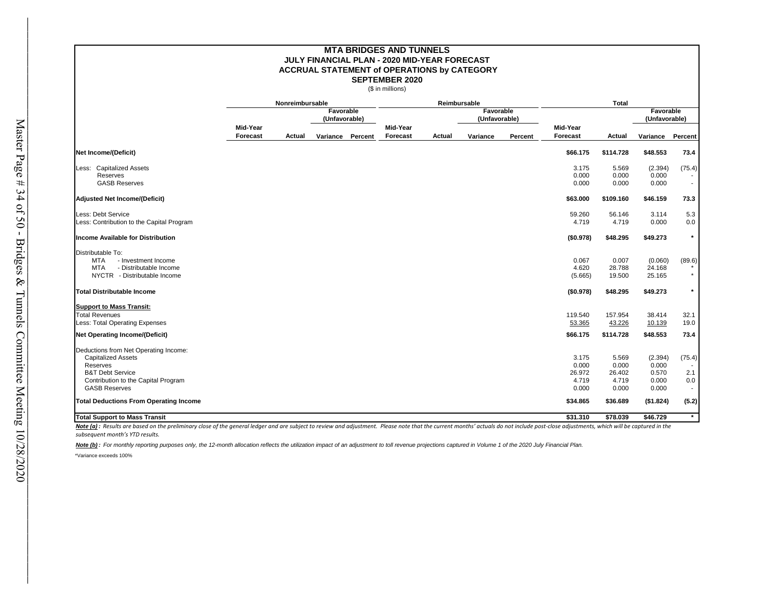#### **SEPTEMBER 2020 MTA BRIDGES AND TUNNELS JULY FINANCIAL PLAN - 2020 MID-YEAR FORECAST ACCRUAL STATEMENT of OPERATIONS by CATEGORY**

(\$ in millions)

|                                                                                                                                | Nonreimbursable      |        |                            |         | Reimbursable         |        |                            |         | Total                             |                                   |                                  |                      |
|--------------------------------------------------------------------------------------------------------------------------------|----------------------|--------|----------------------------|---------|----------------------|--------|----------------------------|---------|-----------------------------------|-----------------------------------|----------------------------------|----------------------|
|                                                                                                                                |                      |        | Favorable<br>(Unfavorable) |         |                      |        | Favorable<br>(Unfavorable) |         |                                   |                                   | Favorable<br>(Unfavorable)       |                      |
|                                                                                                                                | Mid-Year<br>Forecast | Actual | Variance                   | Percent | Mid-Year<br>Forecast | Actual | Variance                   | Percent | Mid-Year<br>Forecast              | Actual                            | Variance                         | Percent              |
| Net Income/(Deficit)                                                                                                           |                      |        |                            |         |                      |        |                            |         | \$66.175                          | \$114.728                         | \$48.553                         | 73.4                 |
| Less: Capitalized Assets<br>Reserves<br><b>GASB Reserves</b>                                                                   |                      |        |                            |         |                      |        |                            |         | 3.175<br>0.000<br>0.000           | 5.569<br>0.000<br>0.000           | (2.394)<br>0.000<br>0.000        | (75.4)               |
| <b>Adjusted Net Income/(Deficit)</b>                                                                                           |                      |        |                            |         |                      |        |                            |         | \$63.000                          | \$109.160                         | \$46.159                         | 73.3                 |
| Less: Debt Service<br>Less: Contribution to the Capital Program                                                                |                      |        |                            |         |                      |        |                            |         | 59.260<br>4.719                   | 56.146<br>4.719                   | 3.114<br>0.000                   | 5.3<br>0.0           |
| <b>Income Available for Distribution</b>                                                                                       |                      |        |                            |         |                      |        |                            |         | (\$0.978)                         | \$48.295                          | \$49.273                         | $\star$              |
| Distributable To:<br><b>MTA</b><br>- Investment Income<br><b>MTA</b><br>- Distributable Income<br>NYCTR - Distributable Income |                      |        |                            |         |                      |        |                            |         | 0.067<br>4.620<br>(5.665)         | 0.007<br>28.788<br>19.500         | (0.060)<br>24.168<br>25.165      | (89.6)               |
| <b>Total Distributable Income</b>                                                                                              |                      |        |                            |         |                      |        |                            |         | (\$0.978)                         | \$48.295                          | \$49.273                         |                      |
| <b>Support to Mass Transit:</b><br><b>Total Revenues</b><br>Less: Total Operating Expenses<br>Net Operating Income/(Deficit)   |                      |        |                            |         |                      |        |                            |         | 119.540<br>53.365<br>\$66.175     | 157.954<br>43.226<br>\$114.728    | 38.414<br>10.139<br>\$48.553     | 32.1<br>19.0<br>73.4 |
| Deductions from Net Operating Income:<br><b>Capitalized Assets</b>                                                             |                      |        |                            |         |                      |        |                            |         | 3.175                             | 5.569                             | (2.394)                          | (75.4)               |
| Reserves<br><b>B&amp;T Debt Service</b><br>Contribution to the Capital Program<br><b>GASB Reserves</b>                         |                      |        |                            |         |                      |        |                            |         | 0.000<br>26.972<br>4.719<br>0.000 | 0.000<br>26.402<br>4.719<br>0.000 | 0.000<br>0.570<br>0.000<br>0.000 | 2.1<br>0.0           |
| <b>Total Deductions From Operating Income</b>                                                                                  |                      |        |                            |         |                      |        |                            |         | \$34.865                          | \$36.689                          | (\$1.824)                        | (5.2)                |
| <b>Total Support to Mass Transit</b>                                                                                           |                      |        |                            |         |                      |        |                            |         | \$31.310                          | \$78.039                          | \$46.729                         | $\star$              |

Note (a): Results are based on the preliminary close of the general ledger and are subject to review and adjustment. Please note that the current months' actuals do not include post-close adjustments, which will be capture *subsequent month's YTD results.*

*Note (b) : For monthly reporting purposes only, the 12-month allocation reflects the utilization impact of an adjustment to toll revenue projections captured in Volume 1 of the 2020 July Financial Plan.* \*Variance exceeds 100%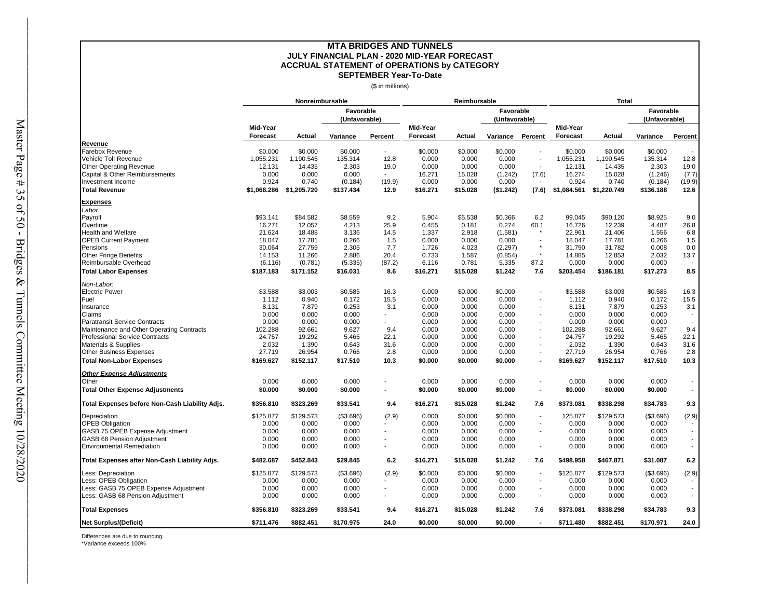#### **MTA BRIDGES AND TUNNELS SEPTEMBER Year-To-Date ACCRUAL STATEMENT of OPERATIONS by CATEGORY JULY FINANCIAL PLAN - 2020 MID-YEAR FORECAST**

(\$ in millions)

|                                                |                 | Nonreimbursable |                            |                          |          | Reimbursable |                            |                          | <b>Total</b> |             |                            |                |  |
|------------------------------------------------|-----------------|-----------------|----------------------------|--------------------------|----------|--------------|----------------------------|--------------------------|--------------|-------------|----------------------------|----------------|--|
|                                                |                 |                 | Favorable<br>(Unfavorable) |                          |          |              | Favorable<br>(Unfavorable) |                          |              |             | Favorable<br>(Unfavorable) |                |  |
|                                                | Mid-Year        |                 |                            |                          | Mid-Year |              |                            |                          | Mid-Year     |             |                            |                |  |
| Revenue                                        | <b>Forecast</b> | Actual          | Variance                   | Percent                  | Forecast | Actual       | Variance                   | Percent                  | Forecast     | Actual      | Variance                   | Percent        |  |
| Farebox Revenue                                | \$0.000         | \$0.000         | \$0.000                    | $\overline{\phantom{a}}$ | \$0.000  | \$0.000      | \$0.000                    | $\overline{\phantom{a}}$ | \$0.000      | \$0.000     | \$0.000                    |                |  |
| Vehicle Toll Revenue                           | 1,055.231       | 1,190.545       | 135.314                    | 12.8                     | 0.000    | 0.000        | 0.000                      | $\blacksquare$           | 1,055.231    | 1,190.545   | 135.314                    | 12.8           |  |
| <b>Other Operating Revenue</b>                 | 12.131          | 14.435          | 2.303                      | 19.0                     | 0.000    | 0.000        | 0.000                      |                          | 12.131       | 14.435      | 2.303                      | 19.0           |  |
| Capital & Other Reimbursements                 | 0.000           | 0.000           | 0.000                      | $\sim$                   | 16.271   | 15.028       | (1.242)                    | (7.6)                    | 16.274       | 15.028      | (1.246)                    | (7.7)          |  |
| Investment Income                              | 0.924           | 0.740           | (0.184)                    | (19.9)                   | 0.000    | 0.000        | 0.000                      |                          | 0.924        | 0.740       | (0.184)                    | (19.9)         |  |
| <b>Total Revenue</b>                           | \$1,068.286     | \$1,205.720     | \$137.434                  | 12.9                     | \$16.271 | \$15.028     | (\$1.242)                  | (7.6)                    | \$1,084.561  | \$1,220.749 | \$136.188                  | 12.6           |  |
| <b>Expenses</b>                                |                 |                 |                            |                          |          |              |                            |                          |              |             |                            |                |  |
| Labor:                                         |                 |                 |                            |                          |          |              |                            |                          |              |             |                            |                |  |
| Payroll                                        | \$93.141        | \$84.582        | \$8.559                    | 9.2                      | 5.904    | \$5.538      | \$0.366                    | 6.2                      | 99.045       | \$90.120    | \$8.925                    | 9.0            |  |
| Overtime                                       | 16.271          | 12.057          | 4.213                      | 25.9                     | 0.455    | 0.181        | 0.274                      | 60.1                     | 16.726       | 12.239      | 4.487                      | 26.8           |  |
| Health and Welfare                             | 21.624          | 18.488          | 3.136                      | 14.5                     | 1.337    | 2.918        | (1.581)                    |                          | 22.961       | 21.406      | 1.556                      | 6.8            |  |
| <b>OPEB Current Payment</b>                    | 18.047          | 17.781          | 0.266                      | 1.5                      | 0.000    | 0.000        | 0.000                      |                          | 18.047       | 17.781      | 0.266                      | 1.5            |  |
| Pensions                                       | 30.064          | 27.759          | 2.305                      | 7.7                      | 1.726    | 4.023        | (2.297)                    | $\star$                  | 31.790       | 31.782      | 0.008                      | 0.0            |  |
| <b>Other Fringe Benefits</b>                   | 14.153          | 11.266          | 2.886                      | 20.4                     | 0.733    | 1.587        | (0.854)                    | $^\star$                 | 14.885       | 12.853      | 2.032                      | 13.7           |  |
| Reimbursable Overhead                          | (6.116)         | (0.781)         | (5.335)                    | (87.2)                   | 6.116    | 0.781        | 5.335                      | 87.2                     | 0.000        | 0.000       | 0.000                      |                |  |
| <b>Total Labor Expenses</b>                    | \$187.183       | \$171.152       | \$16.031                   | 8.6                      | \$16.271 | \$15.028     | \$1.242                    | 7.6                      | \$203.454    | \$186.181   | \$17.273                   | 8.5            |  |
| Non-Labor:                                     |                 |                 |                            |                          |          |              |                            |                          |              |             |                            |                |  |
| <b>Electric Power</b>                          | \$3.588         | \$3.003         | \$0.585                    | 16.3                     | 0.000    | \$0.000      | \$0.000                    | $\blacksquare$           | \$3.588      | \$3.003     | \$0.585                    | 16.3           |  |
| Fuel                                           | 1.112           | 0.940           | 0.172                      | 15.5                     | 0.000    | 0.000        | 0.000                      |                          | 1.112        | 0.940       | 0.172                      | 15.5           |  |
| Insurance                                      | 8.131           | 7.879           | 0.253                      | 3.1                      | 0.000    | 0.000        | 0.000                      |                          | 8.131        | 7.879       | 0.253                      | 3.1            |  |
| Claims                                         | 0.000           | 0.000           | 0.000                      |                          | 0.000    | 0.000        | 0.000                      |                          | 0.000        | 0.000       | 0.000                      |                |  |
| <b>Paratransit Service Contracts</b>           | 0.000           | 0.000           | 0.000                      |                          | 0.000    | 0.000        | 0.000                      | $\blacksquare$           | 0.000        | 0.000       | 0.000                      |                |  |
| Maintenance and Other Operating Contracts      | 102.288         | 92.661          | 9.627                      | 9.4                      | 0.000    | 0.000        | 0.000                      | $\blacksquare$           | 102.288      | 92.661      | 9.627                      | 9.4            |  |
| <b>Professional Service Contracts</b>          | 24.757          | 19.292          | 5.465                      | 22.1                     | 0.000    | 0.000        | 0.000                      | $\sim$                   | 24.757       | 19.292      | 5.465                      | 22.1           |  |
| Materials & Supplies                           | 2.032           | 1.390           | 0.643                      | 31.6                     | 0.000    | 0.000        | 0.000                      |                          | 2.032        | 1.390       | 0.643                      | 31.6           |  |
| <b>Other Business Expenses</b>                 | 27.719          | 26.954          | 0.766                      | 2.8                      | 0.000    | 0.000        | 0.000                      | $\overline{\phantom{a}}$ | 27.719       | 26.954      | 0.766                      | 2.8            |  |
| <b>Total Non-Labor Expenses</b>                | \$169.627       | \$152.117       | \$17.510                   | 10.3                     | \$0.000  | \$0.000      | \$0.000                    | $\blacksquare$           | \$169.627    | \$152.117   | \$17.510                   | 10.3           |  |
| <b>Other Expense Adjustments</b>               |                 |                 |                            |                          |          |              |                            |                          |              |             |                            |                |  |
| Other                                          | 0.000           | 0.000           | 0.000                      |                          | 0.000    | 0.000        | 0.000                      | $\sim$                   | 0.000        | 0.000       | 0.000                      |                |  |
| <b>Total Other Expense Adjustments</b>         | \$0.000         | \$0.000         | \$0.000                    |                          | \$0.000  | \$0.000      | \$0.000                    | $\sim$                   | \$0.000      | \$0.000     | \$0.000                    |                |  |
| Total Expenses before Non-Cash Liability Adjs. | \$356.810       | \$323.269       | \$33.541                   | 9.4                      | \$16.271 | \$15.028     | \$1.242                    | 7.6                      | \$373.081    | \$338.298   | \$34.783                   | 9.3            |  |
| Depreciation                                   | \$125.877       | \$129.573       | (\$3.696)                  | (2.9)                    | 0.000    | \$0.000      | \$0.000                    | $\sim$                   | 125.877      | \$129.573   | (\$3.696)                  | (2.9)          |  |
| <b>OPEB Obligation</b>                         | 0.000           | 0.000           | 0.000                      |                          | 0.000    | 0.000        | 0.000                      | $\overline{\phantom{a}}$ | 0.000        | 0.000       | 0.000                      |                |  |
| GASB 75 OPEB Expense Adjustment                | 0.000           | 0.000           | 0.000                      |                          | 0.000    | 0.000        | 0.000                      | $\blacksquare$           | 0.000        | 0.000       | 0.000                      |                |  |
| GASB 68 Pension Adjustment                     | 0.000           | 0.000           | 0.000                      |                          | 0.000    | 0.000        | 0.000                      |                          | 0.000        | 0.000       | 0.000                      |                |  |
| <b>Environmental Remediation</b>               | 0.000           | 0.000           | 0.000                      |                          | 0.000    | 0.000        | 0.000                      | $\sim$                   | 0.000        | 0.000       | 0.000                      | $\blacksquare$ |  |
| Total Expenses after Non-Cash Liability Adjs.  | \$482.687       | \$452.843       | \$29.845                   | 6.2                      | \$16.271 | \$15.028     | \$1.242                    | 7.6                      | \$498.958    | \$467.871   | \$31.087                   | 6.2            |  |
| ess: Depreciation                              | \$125.877       | \$129.573       | (\$3.696)                  | (2.9)                    | \$0.000  | \$0.000      | \$0.000                    | $\overline{\phantom{a}}$ | \$125.877    | \$129.573   | (\$3.696)                  | (2.9)          |  |
| Less: OPEB Obligation                          | 0.000           | 0.000           | 0.000                      |                          | 0.000    | 0.000        | 0.000                      | $\overline{\phantom{a}}$ | 0.000        | 0.000       | 0.000                      |                |  |
| ess: GASB 75 OPEB Expense Adjustment           | 0.000           | 0.000           | 0.000                      |                          | 0.000    | 0.000        | 0.000                      | $\overline{\phantom{a}}$ | 0.000        | 0.000       | 0.000                      |                |  |
| Less: GASB 68 Pension Adjustment               | 0.000           | 0.000           | 0.000                      |                          | 0.000    | 0.000        | 0.000                      | $\overline{\phantom{a}}$ | 0.000        | 0.000       | 0.000                      |                |  |
| <b>Total Expenses</b>                          | \$356.810       | \$323.269       | \$33.541                   | 9.4                      | \$16.271 | \$15.028     | \$1.242                    | 7.6                      | \$373.081    | \$338.298   | \$34.783                   | 9.3            |  |
| Net Surplus/(Deficit)                          | \$711.476       | \$882.451       | \$170.975                  | 24.0                     | \$0.000  | \$0.000      | \$0.000                    | $\blacksquare$           | \$711.480    | \$882.451   | \$170.971                  | 24.0           |  |

Differences are due to rounding.

\*Variance exceeds 100%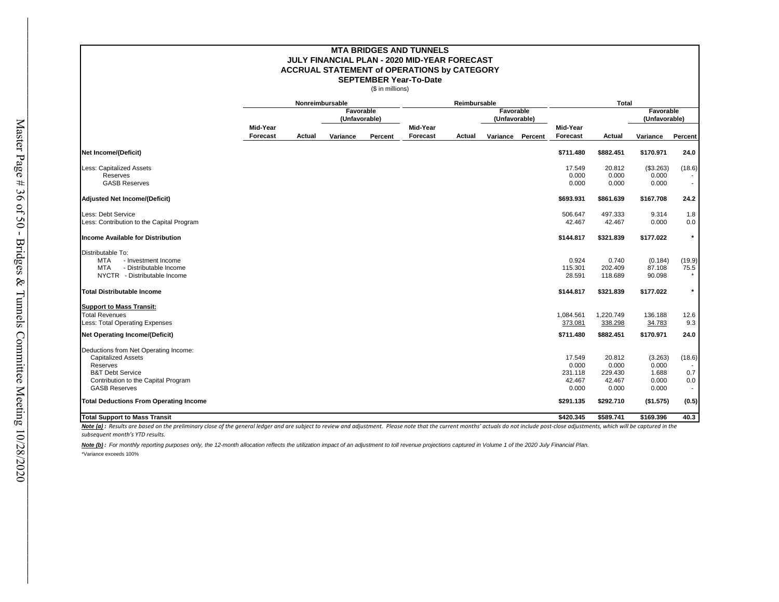#### **SEPTEMBER Year-To-Date ACCRUAL STATEMENT of OPERATIONS by CATEGORY MTA BRIDGES AND TUNNELS JULY FINANCIAL PLAN - 2020 MID-YEAR FORECAST**

(\$ in millions)

|                                                                                                                                                                              |                            | Nonreimbursable |          |                            |          | Reimbursable |          |         |                                               | <b>Total</b>                                  |                                             |                                    |
|------------------------------------------------------------------------------------------------------------------------------------------------------------------------------|----------------------------|-----------------|----------|----------------------------|----------|--------------|----------|---------|-----------------------------------------------|-----------------------------------------------|---------------------------------------------|------------------------------------|
|                                                                                                                                                                              | Favorable<br>(Unfavorable) |                 |          | Favorable<br>(Unfavorable) |          |              |          |         | Favorable<br>(Unfavorable)                    |                                               |                                             |                                    |
|                                                                                                                                                                              | Mid-Year                   |                 |          |                            | Mid-Year |              |          |         | Mid-Year                                      |                                               |                                             |                                    |
|                                                                                                                                                                              | Forecast                   | Actual          | Variance | Percent                    | Forecast | Actual       | Variance | Percent | Forecast                                      | Actual                                        | Variance                                    | Percent                            |
| Net Income/(Deficit)                                                                                                                                                         |                            |                 |          |                            |          |              |          |         | \$711.480                                     | \$882.451                                     | \$170.971                                   | 24.0                               |
| Less: Capitalized Assets<br>Reserves<br><b>GASB Reserves</b>                                                                                                                 |                            |                 |          |                            |          |              |          |         | 17.549<br>0.000<br>0.000                      | 20.812<br>0.000<br>0.000                      | (\$3.263)<br>0.000<br>0.000                 | (18.6)<br>$\overline{\phantom{a}}$ |
| <b>Adjusted Net Income/(Deficit)</b>                                                                                                                                         |                            |                 |          |                            |          |              |          |         | \$693.931                                     | \$861.639                                     | \$167.708                                   | 24.2                               |
| Less: Debt Service<br>Less: Contribution to the Capital Program                                                                                                              |                            |                 |          |                            |          |              |          |         | 506.647<br>42.467                             | 497.333<br>42.467                             | 9.314<br>0.000                              | 1.8<br>0.0                         |
| <b>Income Available for Distribution</b>                                                                                                                                     |                            |                 |          |                            |          |              |          |         | \$144.817                                     | \$321.839                                     | \$177.022                                   | $\star$                            |
| Distributable To:<br><b>MTA</b><br>- Investment Income<br><b>MTA</b><br>- Distributable Income<br>NYCTR - Distributable Income                                               |                            |                 |          |                            |          |              |          |         | 0.924<br>115.301<br>28.591                    | 0.740<br>202.409<br>118.689                   | (0.184)<br>87.108<br>90.098                 | (19.9)<br>75.5                     |
| <b>Total Distributable Income</b>                                                                                                                                            |                            |                 |          |                            |          |              |          |         | \$144.817                                     | \$321.839                                     | \$177.022                                   | $\star$                            |
| <b>Support to Mass Transit:</b><br><b>Total Revenues</b><br>Less: Total Operating Expenses                                                                                   |                            |                 |          |                            |          |              |          |         | 1,084.561<br>373.081                          | 1,220.749<br>338.298                          | 136.188<br>34.783                           | 12.6<br>9.3                        |
| <b>Net Operating Income/(Deficit)</b>                                                                                                                                        |                            |                 |          |                            |          |              |          |         | \$711.480                                     | \$882.451                                     | \$170.971                                   | 24.0                               |
| Deductions from Net Operating Income:<br><b>Capitalized Assets</b><br>Reserves<br><b>B&amp;T Debt Service</b><br>Contribution to the Capital Program<br><b>GASB Reserves</b> |                            |                 |          |                            |          |              |          |         | 17.549<br>0.000<br>231.118<br>42.467<br>0.000 | 20.812<br>0.000<br>229.430<br>42.467<br>0.000 | (3.263)<br>0.000<br>1.688<br>0.000<br>0.000 | (18.6)<br>0.7<br>0.0               |
| <b>Total Deductions From Operating Income</b>                                                                                                                                |                            |                 |          |                            |          |              |          |         | \$291.135                                     | \$292.710                                     | (\$1.575)                                   | (0.5)                              |
| <b>Total Support to Mass Transit</b>                                                                                                                                         |                            |                 |          |                            |          |              |          |         | \$420.345                                     | \$589.741                                     | \$169.396                                   | 40.3                               |

Note (a): Results are based on the preliminary close of the general ledger and are subject to review and adjustment. Please note that the current months' actuals do not include post-close adjustments, which will be capture *subsequent month's YTD results.*

*Note (b) : For monthly reporting purposes only, the 12-month allocation reflects the utilization impact of an adjustment to toll revenue projections captured in Volume 1 of the 2020 July Financial Plan.* \*Variance exceeds 100%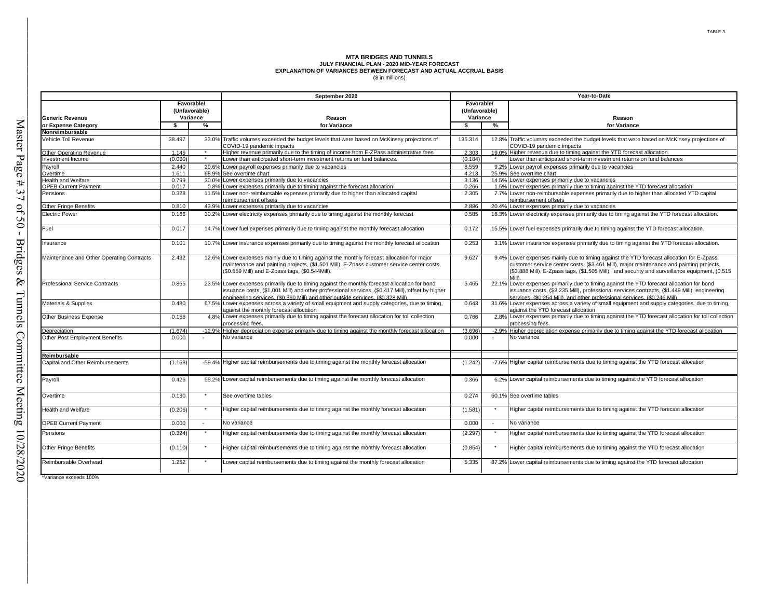# MTA BRIDGES AND TUNNELS<br>JULY FINANCIAL PLAN - 2020 MID-YEAR FORECAST<br>EXPLANATION OF VARIANCES BETWEEN FORECAST AND ACTUAL ACCRUAL BASIS<br>(\$ in millions)

|                                           |                                         |         | September 2020                                                                                                                                                                                                                                                                       | Year-to-Date                            |                          |                                                                                                                                                                                                                                                                                                  |  |  |  |  |
|-------------------------------------------|-----------------------------------------|---------|--------------------------------------------------------------------------------------------------------------------------------------------------------------------------------------------------------------------------------------------------------------------------------------|-----------------------------------------|--------------------------|--------------------------------------------------------------------------------------------------------------------------------------------------------------------------------------------------------------------------------------------------------------------------------------------------|--|--|--|--|
| <b>Generic Revenue</b>                    | Favorable/<br>(Unfavorable)<br>Variance |         | Reason                                                                                                                                                                                                                                                                               | Favorable/<br>(Unfavorable)<br>Variance |                          | Reason                                                                                                                                                                                                                                                                                           |  |  |  |  |
| or Expense Category                       | s.                                      | %       | for Variance                                                                                                                                                                                                                                                                         | s.                                      | $\%$                     | for Variance                                                                                                                                                                                                                                                                                     |  |  |  |  |
| Nonreimbursable                           |                                         |         |                                                                                                                                                                                                                                                                                      |                                         |                          |                                                                                                                                                                                                                                                                                                  |  |  |  |  |
| Vehicle Toll Revenue                      | 38.497                                  |         | 33.0% Traffic volumes exceeded the budget levels that were based on McKinsey projections of<br>COVID-19 pandemic impacts                                                                                                                                                             | 135.314                                 | 12.8%                    | Traffic volumes exceeded the budget levels that were based on McKinsey projections of<br>COVID-19 pandemic impacts                                                                                                                                                                               |  |  |  |  |
| Other Operating Revenue                   | 1.145                                   | $\star$ | Higher revenue primarily due to the timing of income from E-ZPass administrative fees                                                                                                                                                                                                | 2.303                                   | 19.0%                    | Higher revenue due to timing against the YTD forecast allocation.                                                                                                                                                                                                                                |  |  |  |  |
| Investment Income                         | (0.060)                                 | $\star$ | Lower than anticipated short-term investment returns on fund balances                                                                                                                                                                                                                | (0.184)                                 |                          | Lower than anticipated short-term investment returns on fund balances                                                                                                                                                                                                                            |  |  |  |  |
| Payroll                                   | 2.440                                   |         | 20.6% Lower payroll expenses primarily due to vacancies                                                                                                                                                                                                                              | 8.559                                   | 9.2%                     | Lower payroll expenses primarily due to vacancies                                                                                                                                                                                                                                                |  |  |  |  |
| Overtime                                  | 1.611                                   |         | 68.9% See overtime chart                                                                                                                                                                                                                                                             | 4.213                                   | 25.9%                    | See overtime chart                                                                                                                                                                                                                                                                               |  |  |  |  |
| Health and Welfare                        | 0.799                                   |         | 30.0% Lower expenses primarily due to vacancies                                                                                                                                                                                                                                      | 3.136                                   | 14.5%                    | Lower expenses primarily due to vacancies                                                                                                                                                                                                                                                        |  |  |  |  |
| <b>OPEB Current Payment</b>               | 0.017                                   | 0.8%    | Lower expenses primarily due to timing against the forecast allocation                                                                                                                                                                                                               | 0.266                                   | 1.5%                     | Lower expenses primarily due to timing against the YTD forecast allocation                                                                                                                                                                                                                       |  |  |  |  |
| Pensions                                  | 0.328                                   |         | 11.5% Lower non-reimbursable expenses primarily due to higher than allocated capital<br>reimbursement offsets                                                                                                                                                                        | 2.305                                   | 7.7%                     | Lower non-reimbursable expenses primarily due to higher than allocated YTD capital<br>reimbursement offsets                                                                                                                                                                                      |  |  |  |  |
| <b>Other Fringe Benefits</b>              | 0.810                                   |         | 43.9% Lower expenses primarily due to vacancies                                                                                                                                                                                                                                      | 2.886                                   | 20.4%                    | Lower expenses primarily due to vacancies                                                                                                                                                                                                                                                        |  |  |  |  |
| <b>Electric Power</b>                     | 0.166                                   |         | 30.2% Lower electricity expenses primarily due to timing against the monthly forecast                                                                                                                                                                                                | 0.585                                   | 16.3%                    | Lower electricity expenses primarily due to timing against the YTD forecast allocation.                                                                                                                                                                                                          |  |  |  |  |
| Fuel                                      | 0.017                                   |         | 14.7% Lower fuel expenses primarily due to timing against the monthly forecast allocation                                                                                                                                                                                            | 0.172                                   |                          | 15.5% Lower fuel expenses primarily due to timing against the YTD forecast allocation.                                                                                                                                                                                                           |  |  |  |  |
| Insurance                                 | 0.101                                   |         | 10.7% Lower insurance expenses primarily due to timing against the monthly forecast allocation                                                                                                                                                                                       | 0.253                                   |                          | 3.1% Lower insurance expenses primarily due to timing against the YTD forecast allocation.                                                                                                                                                                                                       |  |  |  |  |
| Maintenance and Other Operating Contracts | 2.432                                   |         | 12.6% Lower expenses mainly due to timing against the monthly forecast allocation for major<br>maintenance and painting projects, (\$1.501 Mill), E-Zpass customer service center costs,<br>(\$0.559 Mill) and E-Zpass tags, (\$0.544Mill).                                          | 9.627                                   | 9.4%                     | Lower expenses mainly due to timing against the YTD forecast allocation for E-Zpass<br>customer service center costs, (\$3.461 Mill), major maintenance and painting projects,<br>(\$3.888 Mill), E-Zpass tags, (\$1.505 Mill), and security and surveillance equipment, (0.515<br><b>CILINA</b> |  |  |  |  |
| <b>Professional Service Contracts</b>     | 0.865                                   |         | 23.5% Lower expenses primarily due to timing against the monthly forecast allocation for bond<br>issuance costs, (\$1.001 Mill) and other professional services, (\$0.417 Mill), offset by higher<br>engineering services. (\$0.360 Mill) and other outside services. (\$0.328 Mill) | 5.465                                   | 22.1%                    | Lower expenses primarily due to timing against the YTD forecast allocation for bond<br>issuance costs, (\$3.235 Mill), professional services contracts, (\$1.449 Mill), engineering<br>services. (\$0.254 Mill), and other professional services. (\$0.246 Mill)                                 |  |  |  |  |
| Materials & Supplies                      | 0.480                                   |         | 67.5% Lower expenses across a variety of small equipment and supply categories, due to timing,<br>against the monthly forecast allocation                                                                                                                                            | 0.643                                   | 31.6%                    | Lower expenses across a variety of small equipment and supply categories, due to timing,<br>against the YTD forecast allocation                                                                                                                                                                  |  |  |  |  |
| Other Business Expense                    | 0.156                                   | 4.8%    | Lower expenses primarily due to timing against the forecast allocation for toll collection<br>processing fees.                                                                                                                                                                       | 0.766                                   |                          | 2.8% Lower expenses primarily due to timing against the YTD forecast allocation for toll collection<br>processing fees.                                                                                                                                                                          |  |  |  |  |
| Depreciation                              | (1.674)                                 |         | -12.9% Higher depreciation expense primarily due to timing against the monthly forecast allocation                                                                                                                                                                                   | (3.696)                                 |                          | -2.9% Higher depreciation expense primarily due to timing against the YTD forecast allocation                                                                                                                                                                                                    |  |  |  |  |
| Other Post Employment Benefits            | 0.000                                   |         | No variance                                                                                                                                                                                                                                                                          | 0.000                                   |                          | No variance                                                                                                                                                                                                                                                                                      |  |  |  |  |
| Reimbursable                              |                                         |         |                                                                                                                                                                                                                                                                                      |                                         |                          |                                                                                                                                                                                                                                                                                                  |  |  |  |  |
| Capital and Other Reimbursements          | (1.168)                                 |         | -59.4% Higher capital reimbursements due to timing against the monthly forecast allocation                                                                                                                                                                                           | (1.242)                                 |                          | -7.6% Higher capital reimbursements due to timing against the YTD forecast allocation                                                                                                                                                                                                            |  |  |  |  |
| Payroll                                   | 0.426                                   |         | 55.2% Lower capital reimbursements due to timing against the monthly forecast allocation                                                                                                                                                                                             | 0.366                                   |                          | 6.2% Lower capital reimbursements due to timing against the YTD forecast allocation                                                                                                                                                                                                              |  |  |  |  |
| Overtime                                  | 0.130                                   |         | See overtime tables                                                                                                                                                                                                                                                                  | 0.274                                   |                          | 60.1% See overtime tables                                                                                                                                                                                                                                                                        |  |  |  |  |
| <b>Health and Welfare</b>                 | (0.206)                                 | $\star$ | Higher capital reimbursements due to timing against the monthly forecast allocation                                                                                                                                                                                                  | (1.581)                                 |                          | Higher capital reimbursements due to timing against the YTD forecast allocation                                                                                                                                                                                                                  |  |  |  |  |
| <b>OPEB Current Payment</b>               | 0.000                                   | $\sim$  | No variance                                                                                                                                                                                                                                                                          | 0.000                                   | $\overline{\phantom{a}}$ | No variance                                                                                                                                                                                                                                                                                      |  |  |  |  |
| Pensions                                  | (0.324)                                 | $\star$ | Higher capital reimbursements due to timing against the monthly forecast allocation                                                                                                                                                                                                  | (2.297)                                 |                          | Higher capital reimbursements due to timing against the YTD forecast allocation                                                                                                                                                                                                                  |  |  |  |  |
| <b>Other Fringe Benefits</b>              | (0.110)                                 |         | Higher capital reimbursements due to timing against the monthly forecast allocation                                                                                                                                                                                                  | (0.854)                                 |                          | Higher capital reimbursements due to timing against the YTD forecast allocation                                                                                                                                                                                                                  |  |  |  |  |
| Reimbursable Overhead                     | 1.252                                   |         | Lower capital reimbursements due to timing against the monthly forecast allocation                                                                                                                                                                                                   | 5.335                                   |                          | 87.2% Lower capital reimbursements due to timing against the YTD forecast allocation                                                                                                                                                                                                             |  |  |  |  |

\*Variance exceeds 100%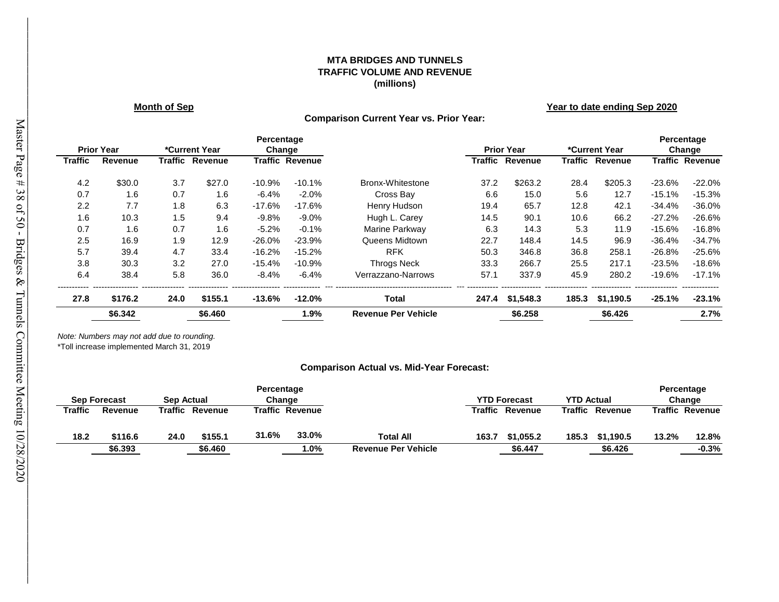# **MTA BRIDGES AND TUNNELS TRAFFIC VOLUME AND REVENUE (millions)**

**Month of Sep Year to date ending Sep 2020**

| <b>Comparison Current Year vs. Prior Year:</b> |  |  |  |  |
|------------------------------------------------|--|--|--|--|
|------------------------------------------------|--|--|--|--|

|                |                   |         |               | <b>Percentage</b> |                        |                            |         |                   |         |               |          | Percentage             |
|----------------|-------------------|---------|---------------|-------------------|------------------------|----------------------------|---------|-------------------|---------|---------------|----------|------------------------|
|                | <b>Prior Year</b> |         | *Current Year |                   | Change                 |                            |         | <b>Prior Year</b> |         | *Current Year |          | Change                 |
| <b>Traffic</b> | <b>Revenue</b>    | Traffic | Revenue       |                   | <b>Traffic Revenue</b> |                            | Traffic | Revenue           | Traffic | Revenue       |          | <b>Traffic Revenue</b> |
| 4.2            | \$30.0            | 3.7     | \$27.0        | $-10.9%$          | $-10.1%$               | Bronx-Whitestone           | 37.2    | \$263.2           | 28.4    | \$205.3       | $-23.6%$ | $-22.0%$               |
| 0.7            | 1.6               | 0.7     | 1.6           | $-6.4%$           | $-2.0%$                | Cross Bay                  | 6.6     | 15.0              | 5.6     | 12.7          | $-15.1%$ | $-15.3%$               |
| 2.2            | 7.7               | 1.8     | 6.3           | $-17.6%$          | $-17.6%$               | Henry Hudson               | 19.4    | 65.7              | 12.8    | 42.1          | $-34.4%$ | $-36.0%$               |
| 1.6            | 10.3              | 1.5     | 9.4           | $-9.8%$           | $-9.0%$                | Hugh L. Carey              | 14.5    | 90.1              | 10.6    | 66.2          | $-27.2%$ | $-26.6%$               |
| 0.7            | 1.6               | 0.7     | 1.6           | $-5.2%$           | $-0.1%$                | Marine Parkway             | 6.3     | 14.3              | 5.3     | 11.9          | $-15.6%$ | $-16.8%$               |
| 2.5            | 16.9              | 1.9     | 12.9          | $-26.0%$          | $-23.9%$               | Queens Midtown             | 22.7    | 148.4             | 14.5    | 96.9          | $-36.4%$ | $-34.7%$               |
| 5.7            | 39.4              | 4.7     | 33.4          | $-16.2%$          | $-15.2%$               | <b>RFK</b>                 | 50.3    | 346.8             | 36.8    | 258.1         | $-26.8%$ | $-25.6%$               |
| 3.8            | 30.3              | 3.2     | 27.0          | $-15.4%$          | $-10.9%$               | <b>Throgs Neck</b>         | 33.3    | 266.7             | 25.5    | 217.1         | $-23.5%$ | $-18.6%$               |
| 6.4            | 38.4              | 5.8     | 36.0          | $-8.4%$           | $-6.4%$                | Verrazzano-Narrows         | 57.1    | 337.9             | 45.9    | 280.2         | $-19.6%$ | $-17.1\%$              |
| 27.8           | \$176.2           | 24.0    | \$155.1       | $-13.6%$          | $-12.0%$               | <b>Total</b>               | 247.4   | \$1,548.3         | 185.3   | \$1,190.5     | $-25.1%$ | $-23.1%$               |
|                | \$6.342           |         | \$6.460       |                   | 1.9%                   | <b>Revenue Per Vehicle</b> |         | \$6.258           |         | \$6.426       |          | 2.7%                   |

*Note: Numbers may not add due to rounding.* \*Toll increase implemented March 31, 2019

# **Comparison Actual vs. Mid-Year Forecast:**

|         | <b>Sep Forecast</b> | <b>Sep Actual</b> |         | Percentage | Change          |                            |         | <b>YTD Forecast</b> | <b>YTD Actual</b> |           |       | Percentage<br>Change   |
|---------|---------------------|-------------------|---------|------------|-----------------|----------------------------|---------|---------------------|-------------------|-----------|-------|------------------------|
| Traffic | Revenue             | Traffic           | Revenue |            | Traffic Revenue |                            | Traffic | Revenue             | Traffic           | Revenue   |       | <b>Traffic Revenue</b> |
| 18.2    | \$116.6             | 24.0              | \$155.1 | 31.6%      | 33.0%           | Total All                  | 163.7   | \$1.055.2           | 185.3             | \$1.190.5 | 13.2% | 12.8%                  |
|         | \$6.393             |                   | \$6.460 |            | 1.0%            | <b>Revenue Per Vehicle</b> |         | \$6.447             |                   | \$6.426   |       | $-0.3%$                |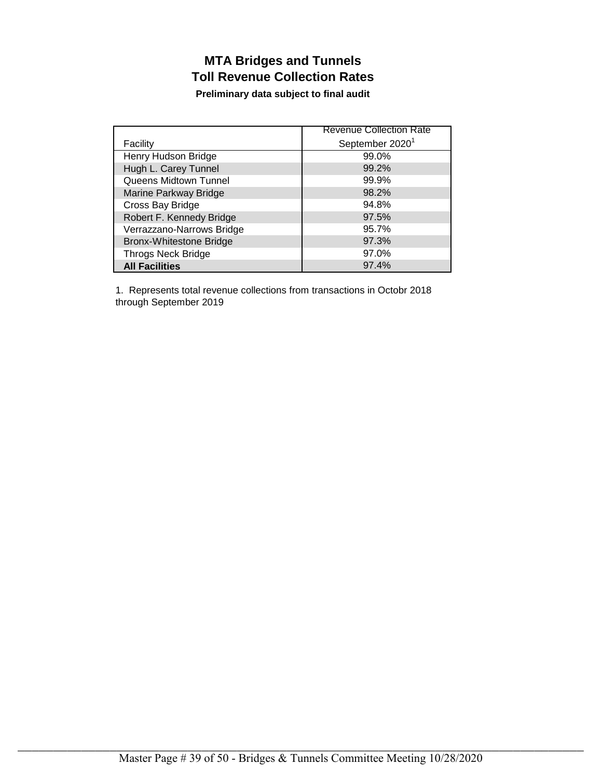# **MTA Bridges and Tunnels Toll Revenue Collection Rates**

# **Preliminary data subject to final audit**

|                                | <b>Revenue Collection Rate</b> |
|--------------------------------|--------------------------------|
| Facility                       | September 2020 <sup>1</sup>    |
| Henry Hudson Bridge            | 99.0%                          |
| Hugh L. Carey Tunnel           | 99.2%                          |
| Queens Midtown Tunnel          | 99.9%                          |
| Marine Parkway Bridge          | 98.2%                          |
| Cross Bay Bridge               | 94.8%                          |
| Robert F. Kennedy Bridge       | 97.5%                          |
| Verrazzano-Narrows Bridge      | 95.7%                          |
| <b>Bronx-Whitestone Bridge</b> | 97.3%                          |
| <b>Throgs Neck Bridge</b>      | 97.0%                          |
| <b>All Facilities</b>          | 97.4%                          |

1. Represents total revenue collections from transactions in Octobr 2018 through September 2019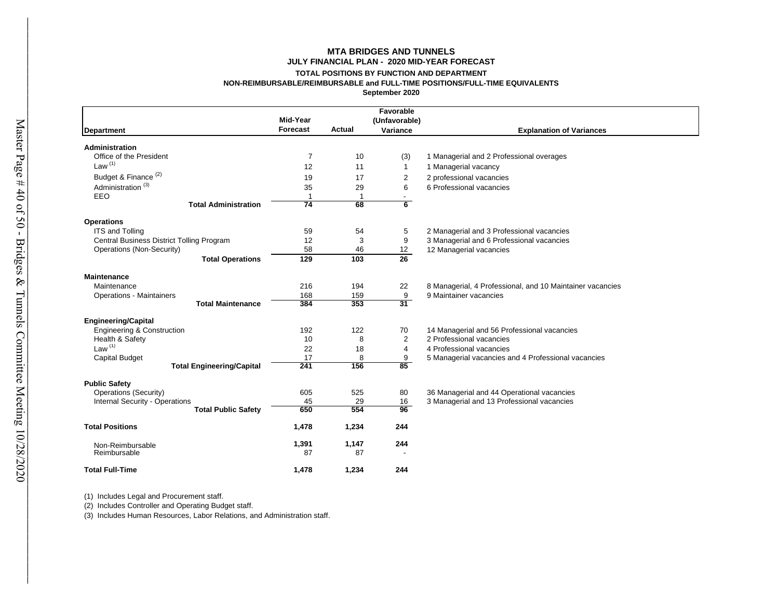# **MTA BRIDGES AND TUNNELS JULY FINANCIAL PLAN - 2020 MID-YEAR FORECAST TOTAL POSITIONS BY FUNCTION AND DEPARTMENT**

**NON-REIMBURSABLE/REIMBURSABLE and FULL-TIME POSITIONS/FULL-TIME EQUIVALENTS**

**September 2020**

|                                           |          |               | Favorable                |                                                           |
|-------------------------------------------|----------|---------------|--------------------------|-----------------------------------------------------------|
|                                           | Mid-Year |               | (Unfavorable)            |                                                           |
| <b>Department</b>                         | Forecast | <b>Actual</b> | Variance                 | <b>Explanation of Variances</b>                           |
| Administration                            |          |               |                          |                                                           |
| Office of the President                   | 7        | 10            | (3)                      | 1 Managerial and 2 Professional overages                  |
| Law $(1)$                                 | 12       | 11            | $\mathbf{1}$             | 1 Managerial vacancy                                      |
| Budget & Finance <sup>(2)</sup>           | 19       | 17            | 2                        | 2 professional vacancies                                  |
| Administration <sup>(3)</sup>             | 35       | 29            | 6                        | 6 Professional vacancies                                  |
| EEO                                       |          | 1             |                          |                                                           |
| <b>Total Administration</b>               | 74       | 68            | $6\overline{6}$          |                                                           |
| <b>Operations</b>                         |          |               |                          |                                                           |
| <b>ITS and Tolling</b>                    | 59       | 54            | 5                        | 2 Managerial and 3 Professional vacancies                 |
| Central Business District Tolling Program | 12       | 3             | 9                        | 3 Managerial and 6 Professional vacancies                 |
| Operations (Non-Security)                 | 58       | 46            | 12                       | 12 Managerial vacancies                                   |
| <b>Total Operations</b>                   | 129      | 103           | 26                       |                                                           |
| <b>Maintenance</b>                        |          |               |                          |                                                           |
| Maintenance                               | 216      | 194           | 22                       | 8 Managerial, 4 Professional, and 10 Maintainer vacancies |
| <b>Operations - Maintainers</b>           | 168      | 159           | 9                        | 9 Maintainer vacancies                                    |
| <b>Total Maintenance</b>                  | 384      | 353           | 31                       |                                                           |
| <b>Engineering/Capital</b>                |          |               |                          |                                                           |
| <b>Engineering &amp; Construction</b>     | 192      | 122           | 70                       | 14 Managerial and 56 Professional vacancies               |
| Health & Safety                           | 10       | 8             | $\overline{c}$           | 2 Professional vacancies                                  |
| Law $(1)$                                 | 22       | 18            | 4                        | 4 Professional vacancies                                  |
| <b>Capital Budget</b>                     | 17       | 8             | 9                        | 5 Managerial vacancies and 4 Professional vacancies       |
| <b>Total Engineering/Capital</b>          | 241      | 156           | 85                       |                                                           |
| <b>Public Safety</b>                      |          |               |                          |                                                           |
| Operations (Security)                     | 605      | 525           | 80                       | 36 Managerial and 44 Operational vacancies                |
| Internal Security - Operations            | 45       | 29            | 16                       | 3 Managerial and 13 Professional vacancies                |
| <b>Total Public Safety</b>                | 650      | 554           | 96                       |                                                           |
| <b>Total Positions</b>                    | 1,478    | 1,234         | 244                      |                                                           |
| Non-Reimbursable                          | 1,391    | 1,147         | 244                      |                                                           |
| Reimbursable                              | 87       | 87            | $\overline{\phantom{a}}$ |                                                           |
| <b>Total Full-Time</b>                    | 1,478    | 1,234         | 244                      |                                                           |

(1) Includes Legal and Procurement staff.

(2) Includes Controller and Operating Budget staff.

(3) Includes Human Resources, Labor Relations, and Administration staff.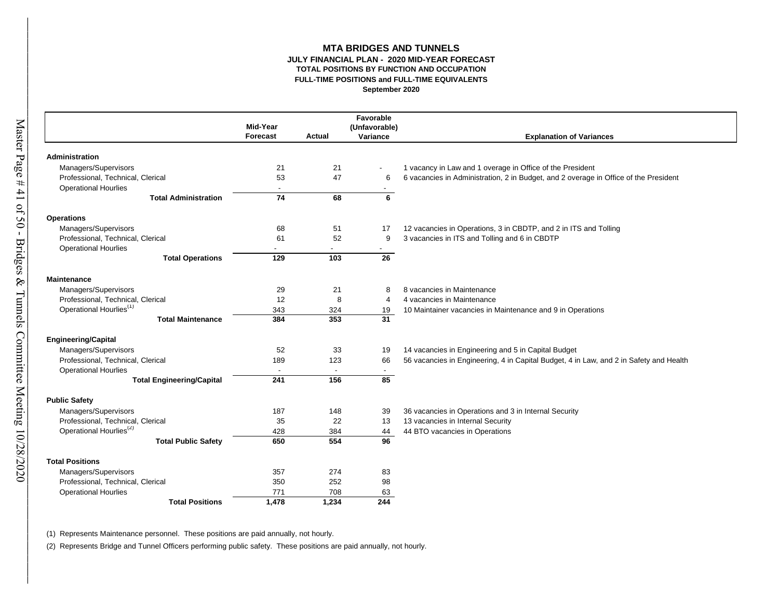#### **FULL-TIME POSITIONS and FULL-TIME EQUIVALENTS MTA BRIDGES AND TUNNELS JULY FINANCIAL PLAN - 2020 MID-YEAR FORECAST TOTAL POSITIONS BY FUNCTION AND OCCUPATION September 2020**

|                                     | Mid-Year<br><b>Forecast</b> | Actual | Favorable<br>(Unfavorable)<br>Variance | <b>Explanation of Variances</b>                                                        |
|-------------------------------------|-----------------------------|--------|----------------------------------------|----------------------------------------------------------------------------------------|
|                                     |                             |        |                                        |                                                                                        |
| Administration                      |                             |        |                                        |                                                                                        |
| Managers/Supervisors                | 21                          | 21     |                                        | 1 vacancy in Law and 1 overage in Office of the President                              |
| Professional, Technical, Clerical   | 53                          | 47     | 6                                      | 6 vacancies in Administration, 2 in Budget, and 2 overage in Office of the President   |
| <b>Operational Hourlies</b>         |                             |        |                                        |                                                                                        |
| <b>Total Administration</b>         | 74                          | 68     | 6                                      |                                                                                        |
| <b>Operations</b>                   |                             |        |                                        |                                                                                        |
| Managers/Supervisors                | 68                          | 51     | 17                                     | 12 vacancies in Operations, 3 in CBDTP, and 2 in ITS and Tolling                       |
| Professional, Technical, Clerical   | 61                          | 52     | 9                                      | 3 vacancies in ITS and Tolling and 6 in CBDTP                                          |
| <b>Operational Hourlies</b>         |                             |        | $\sim$                                 |                                                                                        |
| <b>Total Operations</b>             | 129                         | 103    | 26                                     |                                                                                        |
| <b>Maintenance</b>                  |                             |        |                                        |                                                                                        |
| Managers/Supervisors                | 29                          | 21     | 8                                      | 8 vacancies in Maintenance                                                             |
| Professional, Technical, Clerical   | 12                          | 8      | $\overline{4}$                         | 4 vacancies in Maintenance                                                             |
| Operational Hourlies <sup>(1)</sup> | 343                         | 324    | 19                                     | 10 Maintainer vacancies in Maintenance and 9 in Operations                             |
| <b>Total Maintenance</b>            | 384                         | 353    | 31                                     |                                                                                        |
| <b>Engineering/Capital</b>          |                             |        |                                        |                                                                                        |
| Managers/Supervisors                | 52                          | 33     | 19                                     |                                                                                        |
|                                     |                             |        |                                        | 14 vacancies in Engineering and 5 in Capital Budget                                    |
| Professional, Technical, Clerical   | 189                         | 123    | 66                                     | 56 vacancies in Engineering, 4 in Capital Budget, 4 in Law, and 2 in Safety and Health |
| <b>Operational Hourlies</b>         |                             |        | $\overline{\phantom{a}}$               |                                                                                        |
| <b>Total Engineering/Capital</b>    | 241                         | 156    | 85                                     |                                                                                        |
| <b>Public Safety</b>                |                             |        |                                        |                                                                                        |
| Managers/Supervisors                | 187                         | 148    | 39                                     | 36 vacancies in Operations and 3 in Internal Security                                  |
| Professional, Technical, Clerical   | 35                          | 22     | 13                                     | 13 vacancies in Internal Security                                                      |
| Operational Hourlies <sup>(2)</sup> | 428                         | 384    | 44                                     | 44 BTO vacancies in Operations                                                         |
| <b>Total Public Safety</b>          | 650                         | 554    | 96                                     |                                                                                        |
| <b>Total Positions</b>              |                             |        |                                        |                                                                                        |
| Managers/Supervisors                | 357                         | 274    | 83                                     |                                                                                        |
| Professional, Technical, Clerical   | 350                         | 252    | 98                                     |                                                                                        |
| <b>Operational Hourlies</b>         | 771                         | 708    | 63                                     |                                                                                        |
| <b>Total Positions</b>              | 1,478                       | 1,234  | 244                                    |                                                                                        |

(1) Represents Maintenance personnel. These positions are paid annually, not hourly.

(2) Represents Bridge and Tunnel Officers performing public safety. These positions are paid annually, not hourly.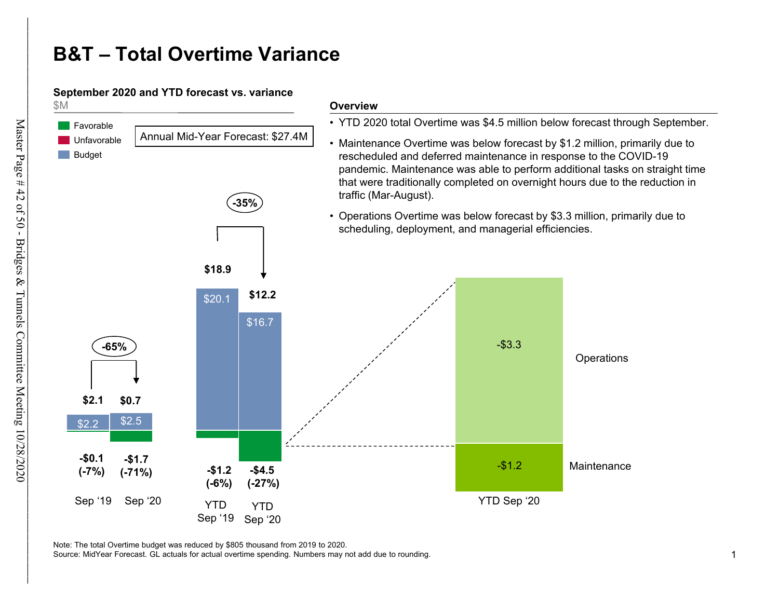# **B&T – Total Overtime Variance**

# **September 2020 and YTD forecast vs. variance**



Note: The total Overtime budget was reduced by \$805 thousand from 2019 to 2020.

Source: MidYear Forecast. GL actuals for actual overtime spending. Numbers may not add due to rounding.

 $\mathcal{L}_\mathcal{L} = \mathcal{L}_\mathcal{L}$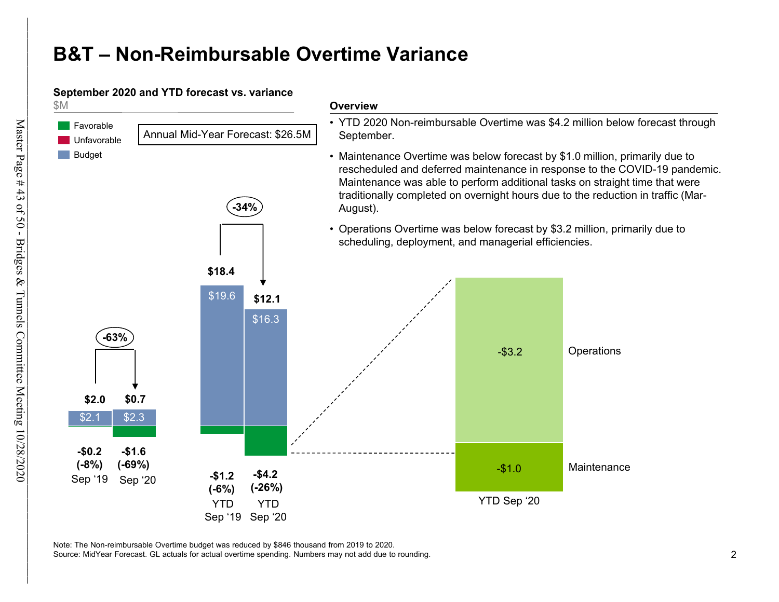# **B&T – Non-Reimbursable Overtime Variance**

# **September 2020 and YTD forecast vs. variance**



Note: The Non-reimbursable Overtime budget was reduced by \$846 thousand from 2019 to 2020. Source: MidYear Forecast. GL actuals for actual overtime spending. Numbers may not add due to rounding.

 $\mathcal{L}_\mathcal{L} = \mathcal{L}_\mathcal{L}$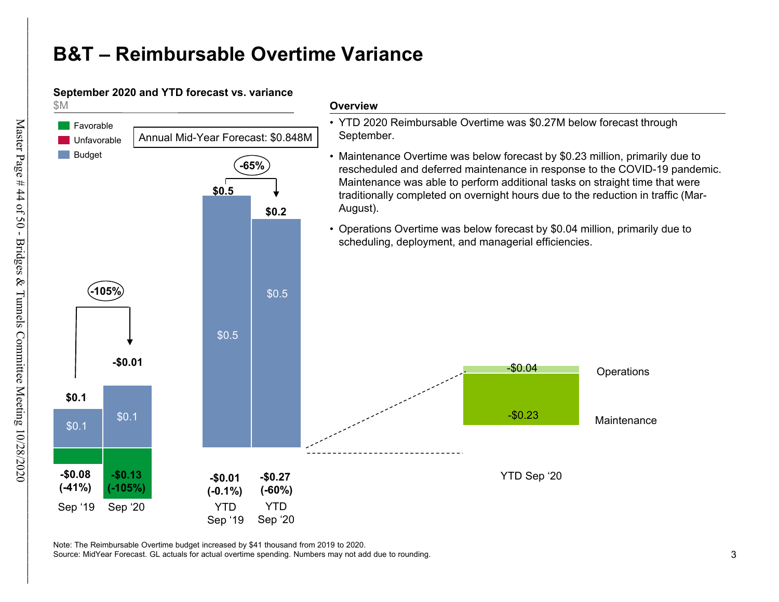# **B&T – Reimbursable Overtime Variance**

# **September 2020 and YTD forecast vs. variance**



Note: The Reimbursable Overtime budget increased by \$41 thousand from 2019 to 2020. Source: MidYear Forecast. GL actuals for actual overtime spending. Numbers may not add due to rounding.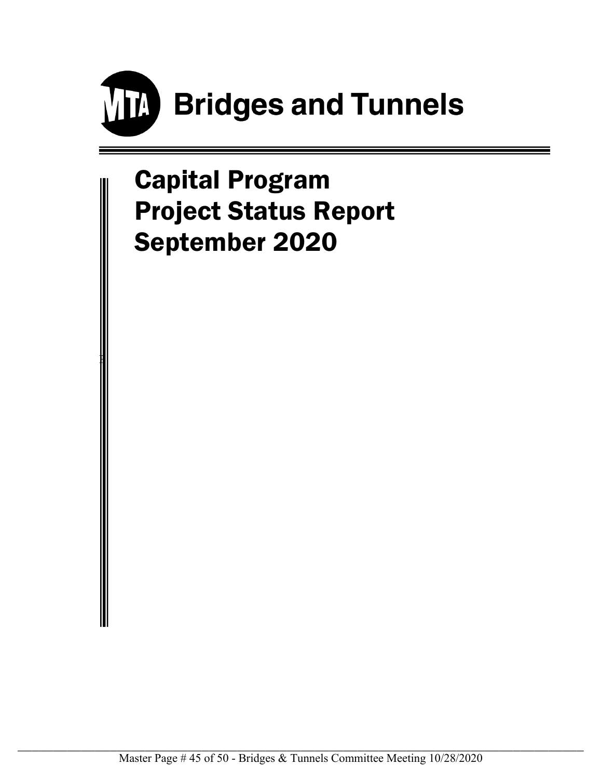

# Capital Program Project Status Report September 2020

Ħ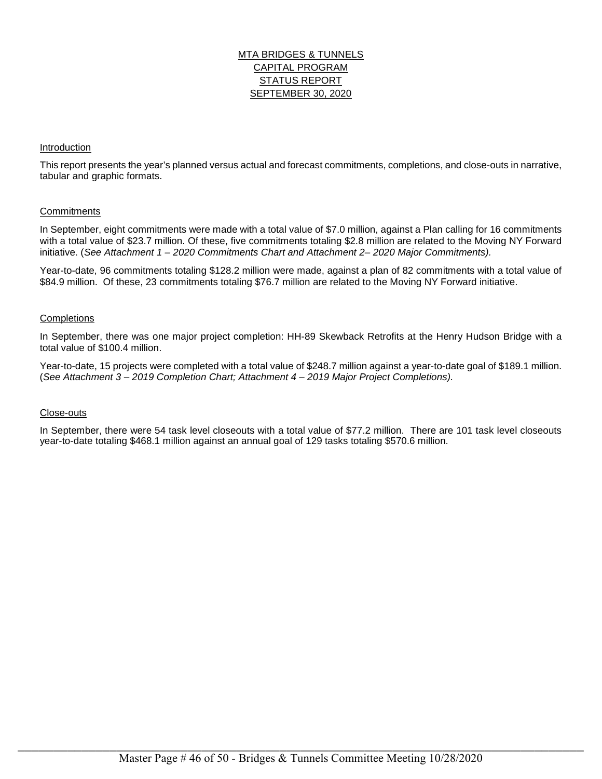# MTA BRIDGES & TUNNELS CAPITAL PROGRAM STATUS REPORT SEPTEMBER 30, 2020

# Introduction

This report presents the year's planned versus actual and forecast commitments, completions, and close-outs in narrative, tabular and graphic formats.

# **Commitments**

In September, eight commitments were made with a total value of \$7.0 million, against a Plan calling for 16 commitments with a total value of \$23.7 million. Of these, five commitments totaling \$2.8 million are related to the Moving NY Forward initiative. (*See Attachment 1 – 2020 Commitments Chart and Attachment 2– 2020 Major Commitments).* 

Year-to-date, 96 commitments totaling \$128.2 million were made, against a plan of 82 commitments with a total value of \$84.9 million. Of these, 23 commitments totaling \$76.7 million are related to the Moving NY Forward initiative.

### **Completions**

In September, there was one major project completion: HH-89 Skewback Retrofits at the Henry Hudson Bridge with a total value of \$100.4 million.

Year-to-date, 15 projects were completed with a total value of \$248.7 million against a year-to-date goal of \$189.1 million. (*See Attachment 3 – 2019 Completion Chart; Attachment 4 – 2019 Major Project Completions).*

### Close-outs

In September, there were 54 task level closeouts with a total value of \$77.2 million. There are 101 task level closeouts year-to-date totaling \$468.1 million against an annual goal of 129 tasks totaling \$570.6 million.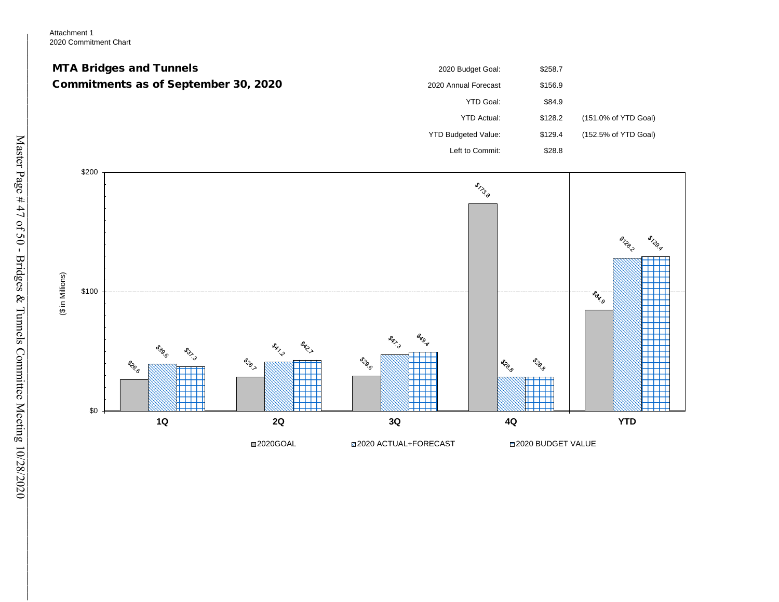Attachment 1 2020 Commitment Chart



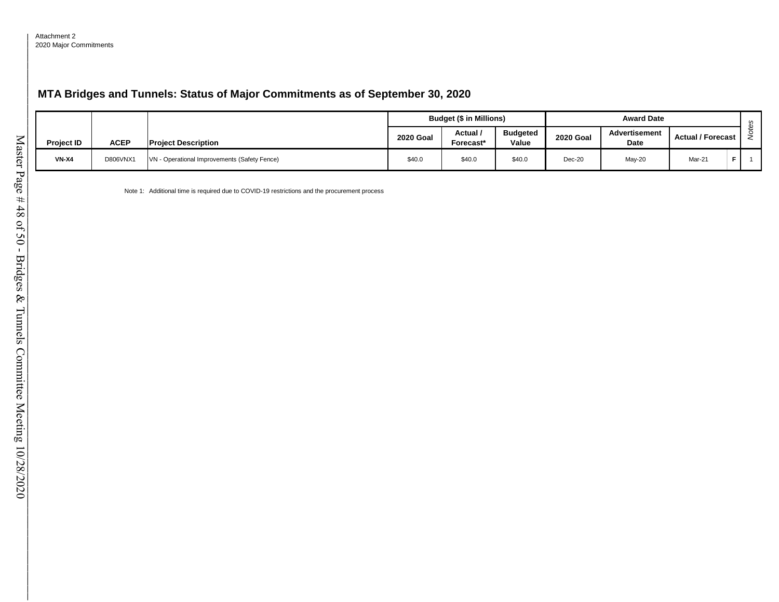# **MTA Bridges and Tunnels: Status of Major Commitments as of September 30, 2020**

|                                  |          |                                                                                              |                  | <b>Budget (\$ in Millions)</b>           |        |                  | <b>Award Date</b>     |                          |                               |
|----------------------------------|----------|----------------------------------------------------------------------------------------------|------------------|------------------------------------------|--------|------------------|-----------------------|--------------------------|-------------------------------|
| <b>Project ID</b><br><b>ACEP</b> |          | <b>Project Description</b>                                                                   | <b>2020 Goal</b> | <b>Budgeted</b><br>Actual /<br>Forecast* |        | <b>2020 Goal</b> | Advertisement<br>Date | <b>Actual / Forecast</b> | <b>Notes</b>                  |
| $VN-X4$                          | D806VNX1 | VN - Operational Improvements (Safety Fence)                                                 | \$40.0           | \$40.0                                   | \$40.0 | $Dec-20$         | May-20                | <b>Mar-21</b>            | $\mathsf F$<br>$\overline{1}$ |
|                                  |          | Note 1: Additional time is required due to COVID-19 restrictions and the procurement process |                  |                                          |        |                  |                       |                          |                               |
|                                  |          |                                                                                              |                  |                                          |        |                  |                       |                          |                               |
|                                  |          |                                                                                              |                  |                                          |        |                  |                       |                          |                               |
|                                  |          |                                                                                              |                  |                                          |        |                  |                       |                          |                               |
|                                  |          |                                                                                              |                  |                                          |        |                  |                       |                          |                               |
|                                  |          |                                                                                              |                  |                                          |        |                  |                       |                          |                               |
|                                  |          |                                                                                              |                  |                                          |        |                  |                       |                          |                               |
|                                  |          |                                                                                              |                  |                                          |        |                  |                       |                          |                               |
|                                  |          |                                                                                              |                  |                                          |        |                  |                       |                          |                               |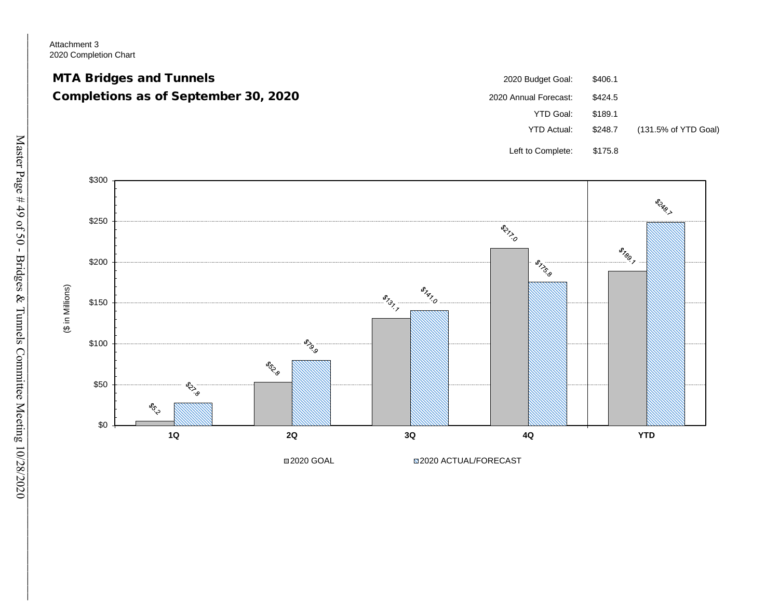Attachment 3 2020 Completion Chart



2020 GOAL 2020 ACTUAL/FORECAST